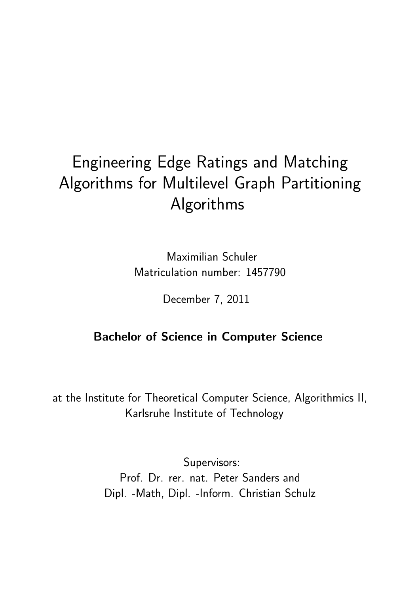# Engineering Edge Ratings and Matching Algorithms for Multilevel Graph Partitioning Algorithms

Maximilian Schuler Matriculation number: 1457790

December 7, 2011

## Bachelor of Science in Computer Science

at the Institute for Theoretical Computer Science, Algorithmics II, Karlsruhe Institute of Technology

> Supervisors: Prof. Dr. rer. nat. Peter Sanders and Dipl. -Math, Dipl. -Inform. Christian Schulz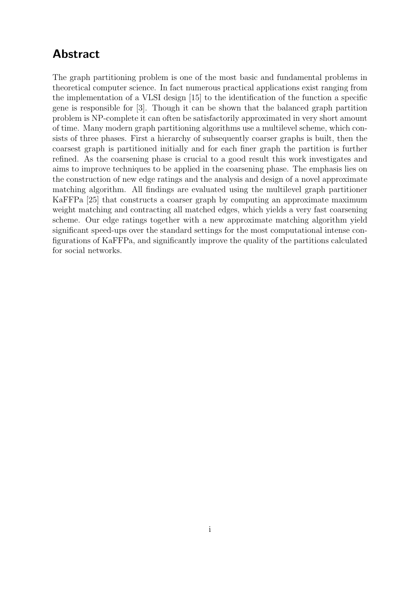### Abstract

The graph partitioning problem is one of the most basic and fundamental problems in theoretical computer science. In fact numerous practical applications exist ranging from the implementation of a VLSI design [\[15\]](#page-58-0) to the identification of the function a specific gene is responsible for [\[3\]](#page-58-1). Though it can be shown that the balanced graph partition problem is NP-complete it can often be satisfactorily approximated in very short amount of time. Many modern graph partitioning algorithms use a multilevel scheme, which consists of three phases. First a hierarchy of subsequently coarser graphs is built, then the coarsest graph is partitioned initially and for each finer graph the partition is further refined. As the coarsening phase is crucial to a good result this work investigates and aims to improve techniques to be applied in the coarsening phase. The emphasis lies on the construction of new edge ratings and the analysis and design of a novel approximate matching algorithm. All findings are evaluated using the multilevel graph partitioner KaFFPa [\[25\]](#page-59-0) that constructs a coarser graph by computing an approximate maximum weight matching and contracting all matched edges, which yields a very fast coarsening scheme. Our edge ratings together with a new approximate matching algorithm yield significant speed-ups over the standard settings for the most computational intense configurations of KaFFPa, and significantly improve the quality of the partitions calculated for social networks.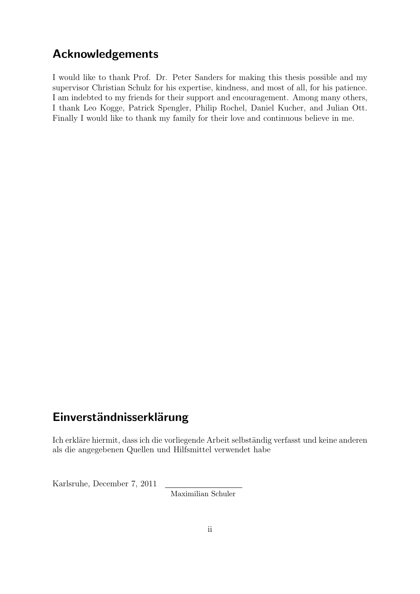### Acknowledgements

I would like to thank Prof. Dr. Peter Sanders for making this thesis possible and my supervisor Christian Schulz for his expertise, kindness, and most of all, for his patience. I am indebted to my friends for their support and encouragement. Among many others, I thank Leo Kogge, Patrick Spengler, Philip Rochel, Daniel Kucher, and Julian Ott. Finally I would like to thank my family for their love and continuous believe in me.

### Einverständnisserklärung

Ich erkläre hiermit, dass ich die vorliegende Arbeit selbständig verfasst und keine anderen als die angegebenen Quellen und Hilfsmittel verwendet habe

Karlsruhe, December 7, 2011

Maximilian Schuler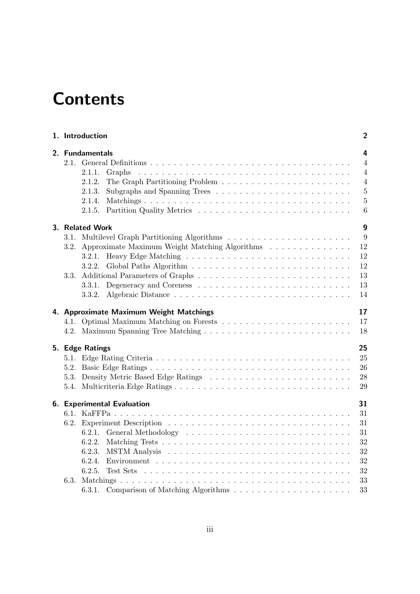## **Contents**

| 1. Introduction                                                                                                           | $\overline{2}$                                            |  |  |  |  |  |  |  |  |  |  |  |  |
|---------------------------------------------------------------------------------------------------------------------------|-----------------------------------------------------------|--|--|--|--|--|--|--|--|--|--|--|--|
| 2. Fundamentals<br>2.1.1.<br>Graphs<br>2.1.2.<br>2.1.3.<br>2.1.4.<br>2.1.5.                                               |                                                           |  |  |  |  |  |  |  |  |  |  |  |  |
| 3. Related Work<br>Approximate Maximum Weight Matching Algorithms<br>3.2.<br>3.2.1.<br>3.2.2.<br>3.3.<br>3.3.1.<br>3.3.2. | $\boldsymbol{9}$<br>9<br>12<br>12<br>12<br>13<br>13<br>14 |  |  |  |  |  |  |  |  |  |  |  |  |
| 4. Approximate Maximum Weight Matchings<br>4.1. Optimal Maximum Matching on Forests                                       | 17<br>17<br>18                                            |  |  |  |  |  |  |  |  |  |  |  |  |
| 5. Edge Ratings<br>5.2.<br>5.3.<br>5.4. Multicriteria Edge Ratings                                                        | 25<br>25<br>26<br>28<br>29                                |  |  |  |  |  |  |  |  |  |  |  |  |
| <b>6. Experimental Evaluation</b><br>6.2.1.<br>6.2.2.<br>6.2.3.<br>6.2.4.<br>6.2.5.                                       | 31<br>31<br>31<br>31<br>32<br>32<br>32<br>32              |  |  |  |  |  |  |  |  |  |  |  |  |
| 6.3.<br>6.3.1.                                                                                                            | 33<br>33                                                  |  |  |  |  |  |  |  |  |  |  |  |  |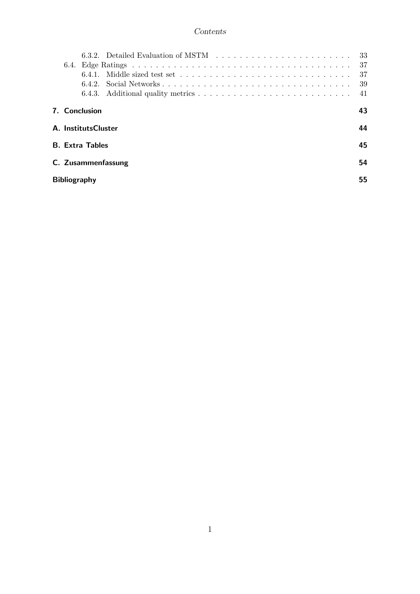#### Contents

|                              |                      | 6.3.2. Detailed Evaluation of MSTM                                                              | -33 |  |  |  |  |  |  |
|------------------------------|----------------------|-------------------------------------------------------------------------------------------------|-----|--|--|--|--|--|--|
|                              |                      |                                                                                                 | 37  |  |  |  |  |  |  |
|                              |                      |                                                                                                 | -37 |  |  |  |  |  |  |
|                              |                      |                                                                                                 | 39  |  |  |  |  |  |  |
|                              |                      | 6.4.3. Additional quality metrics $\dots \dots \dots \dots \dots \dots \dots \dots \dots \dots$ | 41  |  |  |  |  |  |  |
|                              | <b>7.</b> Conclusion |                                                                                                 | 43  |  |  |  |  |  |  |
| 44<br>A. InstitutsCluster    |                      |                                                                                                 |     |  |  |  |  |  |  |
| 45<br><b>B.</b> Extra Tables |                      |                                                                                                 |     |  |  |  |  |  |  |
|                              |                      | C. Zusammenfassung                                                                              | 54  |  |  |  |  |  |  |
| <b>Bibliography</b>          |                      |                                                                                                 | 55  |  |  |  |  |  |  |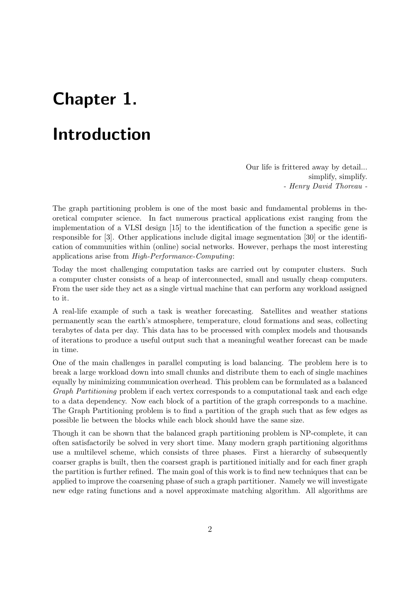# <span id="page-5-0"></span>Chapter 1.

## Introduction

Our life is frittered away by detail... simplify, simplify. - Henry David Thoreau -

The graph partitioning problem is one of the most basic and fundamental problems in theoretical computer science. In fact numerous practical applications exist ranging from the implementation of a VLSI design [\[15\]](#page-58-0) to the identification of the function a specific gene is responsible for [\[3\]](#page-58-1). Other applications include digital image segmentation [\[30\]](#page-59-1) or the identification of communities within (online) social networks. However, perhaps the most interesting applications arise from High-Performance-Computing:

Today the most challenging computation tasks are carried out by computer clusters. Such a computer cluster consists of a heap of interconnected, small and usually cheap computers. From the user side they act as a single virtual machine that can perform any workload assigned to it.

A real-life example of such a task is weather forecasting. Satellites and weather stations permanently scan the earth's atmosphere, temperature, cloud formations and seas, collecting terabytes of data per day. This data has to be processed with complex models and thousands of iterations to produce a useful output such that a meaningful weather forecast can be made in time.

One of the main challenges in parallel computing is load balancing. The problem here is to break a large workload down into small chunks and distribute them to each of single machines equally by minimizing communication overhead. This problem can be formulated as a balanced Graph Partitioning problem if each vertex corresponds to a computational task and each edge to a data dependency. Now each block of a partition of the graph corresponds to a machine. The Graph Partitioning problem is to find a partition of the graph such that as few edges as possible lie between the blocks while each block should have the same size.

Though it can be shown that the balanced graph partitioning problem is NP-complete, it can often satisfactorily be solved in very short time. Many modern graph partitioning algorithms use a multilevel scheme, which consists of three phases. First a hierarchy of subsequently coarser graphs is built, then the coarsest graph is partitioned initially and for each finer graph the partition is further refined. The main goal of this work is to find new techniques that can be applied to improve the coarsening phase of such a graph partitioner. Namely we will investigate new edge rating functions and a novel approximate matching algorithm. All algorithms are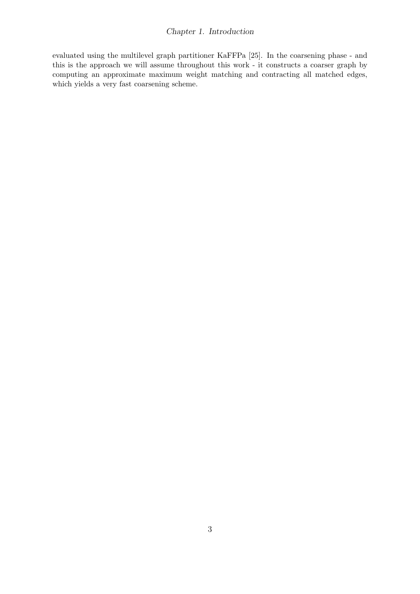evaluated using the multilevel graph partitioner KaFFPa [\[25\]](#page-59-0). In the coarsening phase - and this is the approach we will assume throughout this work - it constructs a coarser graph by computing an approximate maximum weight matching and contracting all matched edges, which yields a very fast coarsening scheme.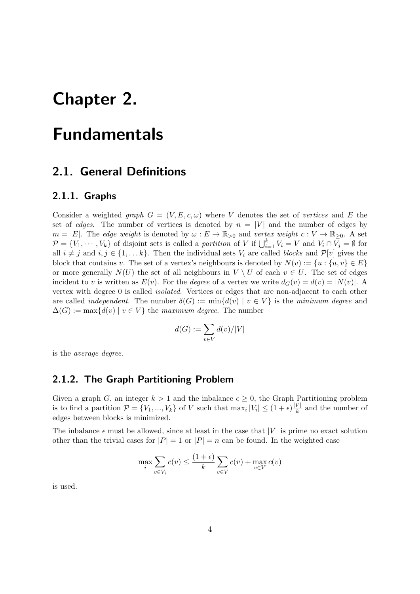## <span id="page-7-0"></span>Chapter 2.

## Fundamentals

### <span id="page-7-1"></span>2.1. General Definitions

#### <span id="page-7-2"></span>2.1.1. Graphs

Consider a weighted *graph*  $G = (V, E, c, \omega)$  where V denotes the set of vertices and E the set of edges. The number of vertices is denoted by  $n = |V|$  and the number of edges by  $m = |E|$ . The edge weight is denoted by  $\omega : E \to \mathbb{R}_{>0}$  and vertex weight  $c : V \to \mathbb{R}_{>0}$ . A set  $\mathcal{P} = \{V_1, \cdots, V_k\}$  of disjoint sets is called a *partition* of V if  $\bigcup_{i=1}^k V_i = V$  and  $V_i \cap \overline{V_j} = \emptyset$  for all  $i \neq j$  and  $i, j \in \{1, \ldots k\}$ . Then the individual sets  $V_i$  are called blocks and  $\mathcal{P}[v]$  gives the block that contains v. The set of a vertex's neighbours is denoted by  $N(v) := \{u : \{u, v\} \in E\}$ or more generally  $N(U)$  the set of all neighbours in  $V \setminus U$  of each  $v \in U$ . The set of edges incident to v is written as  $E(v)$ . For the *degree* of a vertex we write  $d_G(v) = d(v) = |N(v)|$ . vertex with degree 0 is called isolated. Vertices or edges that are non-adjacent to each other are called *independent*. The number  $\delta(G) := \min\{d(v) | v \in V\}$  is the *minimum degree* and  $\Delta(G) := \max\{d(v) \mid v \in V\}$  the maximum degree. The number

$$
d(G):=\sum_{v\in V}d(v)/|V|
$$

is the average degree.

#### <span id="page-7-3"></span>2.1.2. The Graph Partitioning Problem

Given a graph G, an integer  $k > 1$  and the inbalance  $\epsilon > 0$ , the Graph Partitioning problem is to find a partition  $\mathcal{P} = \{V_1, ..., V_k\}$  of V such that  $\max_i |V_i| \leq (1 + \epsilon) \frac{|V|}{k}$  $\frac{v_{\perp}}{k}$  and the number of edges between blocks is minimized.

The inbalance  $\epsilon$  must be allowed, since at least in the case that  $|V|$  is prime no exact solution other than the trivial cases for  $|P| = 1$  or  $|P| = n$  can be found. In the weighted case

$$
\max_{i} \sum_{v \in V_i} c(v) \le \frac{(1+\epsilon)}{k} \sum_{v \in V} c(v) + \max_{v \in V} c(v)
$$

is used.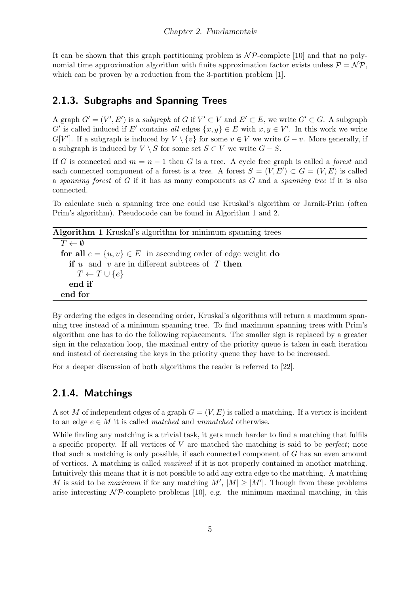It can be shown that this graph partitioning problem is  $\mathcal{NP}$ -complete [\[10\]](#page-58-2) and that no polynomial time approximation algorithm with finite approximation factor exists unless  $P = \mathcal{NP}$ , which can be proven by a reduction from the 3-partition problem [\[1\]](#page-58-3).

#### <span id="page-8-0"></span>2.1.3. Subgraphs and Spanning Trees

A graph  $G' = (V', E')$  is a subgraph of G if  $V' \subset V$  and  $E' \subset E$ , we write  $G' \subset G$ . A subgraph G' is called induced if E' contains all edges  $\{x, y\} \in E$  with  $x, y \in V'$ . In this work we write  $G[V']$ . If a subgraph is induced by  $V \setminus \{v\}$  for some  $v \in V$  we write  $G - v$ . More generally, if a subgraph is induced by  $V \setminus S$  for some set  $S \subset V$  we write  $G - S$ .

If G is connected and  $m = n - 1$  then G is a tree. A cycle free graph is called a *forest* and each connected component of a forest is a tree. A forest  $S = (V, E') \subset G = (V, E)$  is called a spanning forest of  $G$  if it has as many components as  $G$  and a spanning tree if it is also connected.

To calculate such a spanning tree one could use Kruskal's algorithm or Jarnik-Prim (often Prim's algorithm). Pseudocode can be found in Algorithm [1](#page-8-2) and [2.](#page-9-1)

<span id="page-8-2"></span>

| <b>Algorithm 1</b> Kruskal's algorithm for minimum spanning trees |
|-------------------------------------------------------------------|
| $T \leftarrow \emptyset$                                          |
| for all $e = \{u, v\} \in E$ in ascending order of edge weight do |
| <b>if</b> u and v are in different subtrees of T then             |
| $T \leftarrow T \cup \{e\}$                                       |
| end if                                                            |
| end for                                                           |

By ordering the edges in descending order, Kruskal's algorithms will return a maximum spanning tree instead of a minimum spanning tree. To find maximum spanning trees with Prim's algorithm one has to do the following replacements. The smaller sign is replaced by a greater sign in the relaxation loop, the maximal entry of the priority queue is taken in each iteration and instead of decreasing the keys in the priority queue they have to be increased.

For a deeper discussion of both algorithms the reader is referred to [\[22\]](#page-59-2).

#### <span id="page-8-1"></span>2.1.4. Matchings

A set M of independent edges of a graph  $G = (V, E)$  is called a matching. If a vertex is incident to an edge  $e \in M$  it is called *matched* and *unmatched* otherwise.

While finding any matching is a trivial task, it gets much harder to find a matching that fulfils a specific property. If all vertices of  $V$  are matched the matching is said to be *perfect*; note that such a matching is only possible, if each connected component of G has an even amount of vertices. A matching is called maximal if it is not properly contained in another matching. Intuitively this means that it is not possible to add any extra edge to the matching. A matching M is said to be maximum if for any matching  $M'$ ,  $|M| \geq |M'|$ . Though from these problems arise interesting  $\mathcal{NP}$ -complete problems [\[10\]](#page-58-2), e.g. the minimum maximal matching, in this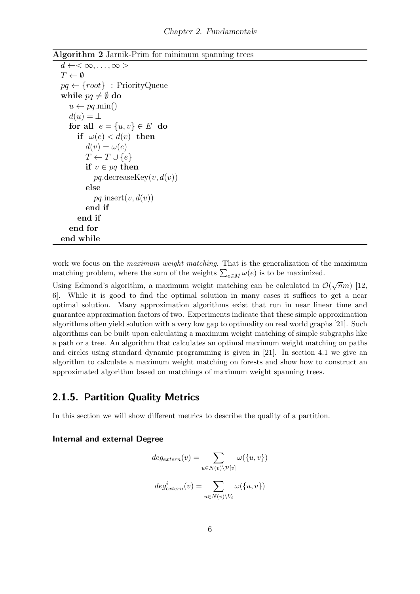<span id="page-9-1"></span>Algorithm 2 Jarnik-Prim for minimum spanning trees

```
d \leftarrow <\infty, \ldots, \infty>T \leftarrow \emptysetpq \leftarrow \{root\}: PriorityQueue
while pq \neq \emptyset do
   u \leftarrow pq.\text{min}()d(u) = \perpfor all e = \{u, v\} \in E do
      if \omega(e) < d(v) then
         d(v) = \omega(e)T \leftarrow T \cup \{e\}if v \in pq then
            pq.decreaseKey(v, d(v))else
            pq.insert(v, d(v))end if
      end if
   end for
end while
```
work we focus on the *maximum weight matching*. That is the generalization of the maximum matching problem, where the sum of the weights  $\sum_{e \in M} \omega(e)$  is to be maximized.

Using Edmond's algorithm, a maximum weight matching can be calculated in  $\mathcal{O}(\sqrt{n}m)$  [\[12,](#page-58-4) [6\]](#page-58-5). While it is good to find the optimal solution in many cases it suffices to get a near optimal solution. Many approximation algorithms exist that run in near linear time and guarantee approximation factors of two. Experiments indicate that these simple approximation algorithms often yield solution with a very low gap to optimality on real world graphs [\[21\]](#page-59-3). Such algorithms can be built upon calculating a maximum weight matching of simple subgraphs like a path or a tree. An algorithm that calculates an optimal maximum weight matching on paths and circles using standard dynamic programming is given in [\[21\]](#page-59-3). In section [4.1](#page-20-1) we give an algorithm to calculate a maximum weight matching on forests and show how to construct an approximated algorithm based on matchings of maximum weight spanning trees.

#### <span id="page-9-0"></span>2.1.5. Partition Quality Metrics

In this section we will show different metrics to describe the quality of a partition.

#### Internal and external Degree

$$
deg_{extern}(v) = \sum_{u \in N(v) \backslash \mathcal{P}[v]} \omega(\{u, v\})
$$

$$
deg_{extern}^{i}(v) = \sum_{u \in N(v) \backslash V_{i}} \omega(\{u, v\})
$$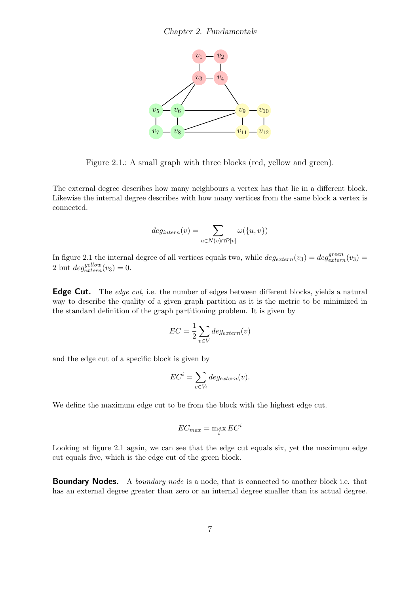

<span id="page-10-0"></span>Figure 2.1.: A small graph with three blocks (red, yellow and green).

The external degree describes how many neighbours a vertex has that lie in a different block. Likewise the internal degree describes with how many vertices from the same block a vertex is connected.

$$
deg_{intern}(v) = \sum_{u \in N(v) \cap \mathcal{P}[v]} \omega(\{u, v\})
$$

In figure [2.1](#page-10-0) the internal degree of all vertices equals two, while  $deg_{extern}(v_3) = deg_{extern}^{green}(v_3)$ 2 but  $deg_{extern}^{yellow}(v_3) = 0.$ 

**Edge Cut.** The edge cut, i.e. the number of edges between different blocks, yields a natural way to describe the quality of a given graph partition as it is the metric to be minimized in the standard definition of the graph partitioning problem. It is given by

$$
EC = \frac{1}{2} \sum_{v \in V} deg_{extern}(v)
$$

and the edge cut of a specific block is given by

$$
EC^i = \sum_{v \in V_i} deg_{extern}(v).
$$

We define the maximum edge cut to be from the block with the highest edge cut.

$$
EC_{max} = \max_{i} EC^i
$$

Looking at figure [2.1](#page-10-0) again, we can see that the edge cut equals six, yet the maximum edge cut equals five, which is the edge cut of the green block.

**Boundary Nodes.** A *boundary node* is a node, that is connected to another block i.e. that has an external degree greater than zero or an internal degree smaller than its actual degree.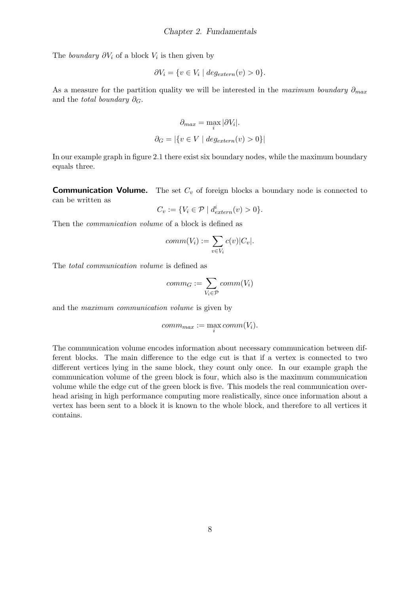The *boundary*  $\partial V_i$  of a block  $V_i$  is then given by

$$
\partial V_i = \{ v \in V_i \mid deg_{extern}(v) > 0 \}.
$$

As a measure for the partition quality we will be interested in the maximum boundary  $\partial_{max}$ and the *total boundary*  $\partial_G$ .

$$
\partial_{max} = \max_{i} |\partial V_i|.
$$

$$
\partial_G = |\{v \in V \mid deg_{extern}(v) > 0\}|\
$$

In our example graph in figure [2.1](#page-10-0) there exist six boundary nodes, while the maximum boundary equals three.

**Communication Volume.** The set  $C_v$  of foreign blocks a boundary node is connected to can be written as

$$
C_v := \{ V_i \in \mathcal{P} \mid d^i_{extern}(v) > 0 \}.
$$

Then the communication volume of a block is defined as

$$
comm(V_i) := \sum_{v \in V_i} c(v) |C_v|.
$$

The total communication volume is defined as

$$
comm_G := \sum_{V_i \in \mathcal{P}} comm(V_i)
$$

and the maximum communication volume is given by

$$
comm_{max} := \max_{i} comm(V_i).
$$

The communication volume encodes information about necessary communication between different blocks. The main difference to the edge cut is that if a vertex is connected to two different vertices lying in the same block, they count only once. In our example graph the communication volume of the green block is four, which also is the maximum communication volume while the edge cut of the green block is five. This models the real communication overhead arising in high performance computing more realistically, since once information about a vertex has been sent to a block it is known to the whole block, and therefore to all vertices it contains.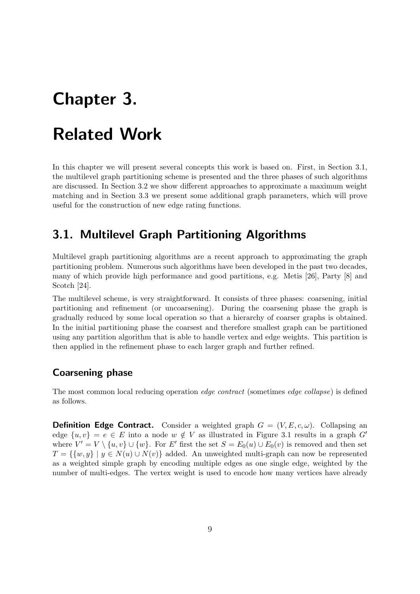## <span id="page-12-0"></span>Chapter 3.

## Related Work

In this chapter we will present several concepts this work is based on. First, in Section [3.1,](#page-12-1) the multilevel graph partitioning scheme is presented and the three phases of such algorithms are discussed. In Section [3.2](#page-15-0) we show different approaches to approximate a maximum weight matching and in Section [3.3](#page-16-0) we present some additional graph parameters, which will prove useful for the construction of new edge rating functions.

### <span id="page-12-1"></span>3.1. Multilevel Graph Partitioning Algorithms

Multilevel graph partitioning algorithms are a recent approach to approximating the graph partitioning problem. Numerous such algorithms have been developed in the past two decades, many of which provide high performance and good partitions, e.g. Metis [\[26\]](#page-59-4), Party [\[8\]](#page-58-6) and Scotch [\[24\]](#page-59-5).

The multilevel scheme, is very straightforward. It consists of three phases: coarsening, initial partitioning and refinement (or uncoarsening). During the coarsening phase the graph is gradually reduced by some local operation so that a hierarchy of coarser graphs is obtained. In the initial partitioning phase the coarsest and therefore smallest graph can be partitioned using any partition algorithm that is able to handle vertex and edge weights. This partition is then applied in the refinement phase to each larger graph and further refined.

#### Coarsening phase

The most common local reducing operation edge contract (sometimes edge collapse) is defined as follows.

**Definition Edge Contract.** Consider a weighted graph  $G = (V, E, c, \omega)$ . Collapsing an edge  $\{u, v\} = e \in E$  into a node  $w \notin V$  as illustrated in Figure [3.1](#page-13-0) results in a graph  $G'$ where  $V' = V \setminus \{u, v\} \cup \{w\}$ . For E' first the set  $S = E_0(u) \cup E_0(v)$  is removed and then set  $T = \{ \{w, y\} \mid y \in N(u) \cup N(v) \}$  added. An unweighted multi-graph can now be represented as a weighted simple graph by encoding multiple edges as one single edge, weighted by the number of multi-edges. The vertex weight is used to encode how many vertices have already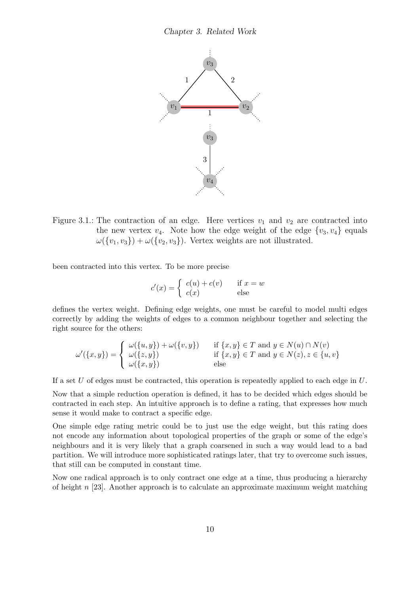

<span id="page-13-0"></span>Figure 3.1.: The contraction of an edge. Here vertices  $v_1$  and  $v_2$  are contracted into the new vertex  $v_4$ . Note how the edge weight of the edge  $\{v_3, v_4\}$  equals  $\omega({v_1, v_3}) + \omega({v_2, v_3})$ . Vertex weights are not illustrated.

been contracted into this vertex. To be more precise

$$
c'(x) = \begin{cases} c(u) + c(v) & \text{if } x = w \\ c(x) & \text{else} \end{cases}
$$

defines the vertex weight. Defining edge weights, one must be careful to model multi edges correctly by adding the weights of edges to a common neighbour together and selecting the right source for the others:

$$
\omega'(\{x,y\}) = \begin{cases}\n\omega(\{u,y\}) + \omega(\{v,y\}) & \text{if } \{x,y\} \in T \text{ and } y \in N(u) \cap N(v) \\
\omega(\{z,y\}) & \text{if } \{x,y\} \in T \text{ and } y \in N(z), z \in \{u,v\} \\
\omega(\{x,y\}) & \text{else}\n\end{cases}
$$

If a set  $U$  of edges must be contracted, this operation is repeatedly applied to each edge in  $U$ .

Now that a simple reduction operation is defined, it has to be decided which edges should be contracted in each step. An intuitive approach is to define a rating, that expresses how much sense it would make to contract a specific edge.

One simple edge rating metric could be to just use the edge weight, but this rating does not encode any information about topological properties of the graph or some of the edge's neighbours and it is very likely that a graph coarsened in such a way would lead to a bad partition. We will introduce more sophisticated ratings later, that try to overcome such issues, that still can be computed in constant time.

Now one radical approach is to only contract one edge at a time, thus producing a hierarchy of height  $n$  [\[23\]](#page-59-6). Another approach is to calculate an approximate maximum weight matching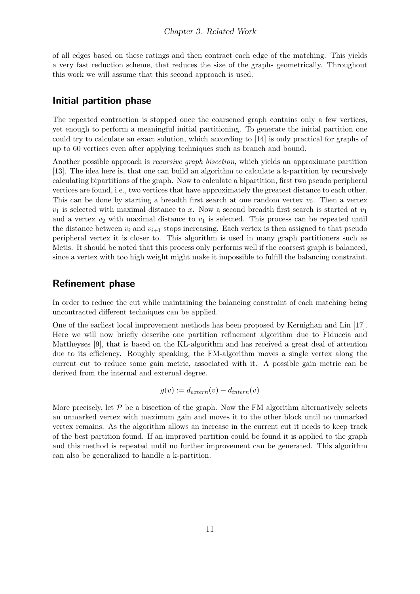of all edges based on these ratings and then contract each edge of the matching. This yields a very fast reduction scheme, that reduces the size of the graphs geometrically. Throughout this work we will assume that this second approach is used.

#### Initial partition phase

The repeated contraction is stopped once the coarsened graph contains only a few vertices, yet enough to perform a meaningful initial partitioning. To generate the initial partition one could try to calculate an exact solution, which according to [\[14\]](#page-58-7) is only practical for graphs of up to 60 vertices even after applying techniques such as branch and bound.

Another possible approach is recursive graph bisection, which yields an approximate partition [\[13\]](#page-58-8). The idea here is, that one can build an algorithm to calculate a k-partition by recursively calculating bipartitions of the graph. Now to calculate a bipartition, first two pseudo peripheral vertices are found, i.e., two vertices that have approximately the greatest distance to each other. This can be done by starting a breadth first search at one random vertex  $v_0$ . Then a vertex  $v_1$  is selected with maximal distance to x. Now a second breadth first search is started at  $v_1$ and a vertex  $v_2$  with maximal distance to  $v_1$  is selected. This process can be repeated until the distance between  $v_i$  and  $v_{i+1}$  stops increasing. Each vertex is then assigned to that pseudo peripheral vertex it is closer to. This algorithm is used in many graph partitioners such as Metis. It should be noted that this process only performs well if the coarsest graph is balanced, since a vertex with too high weight might make it impossible to fulfill the balancing constraint.

#### Refinement phase

In order to reduce the cut while maintaining the balancing constraint of each matching being uncontracted different techniques can be applied.

One of the earliest local improvement methods has been proposed by Kernighan and Lin [\[17\]](#page-59-7). Here we will now briefly describe one partition refinement algorithm due to Fiduccia and Mattheyses [\[9\]](#page-58-9), that is based on the KL-algorithm and has received a great deal of attention due to its efficiency. Roughly speaking, the FM-algorithm moves a single vertex along the current cut to reduce some gain metric, associated with it. A possible gain metric can be derived from the internal and external degree.

$$
g(v) := d_{extern}(v) - d_{intern}(v)
$$

More precisely, let  $P$  be a bisection of the graph. Now the FM algorithm alternatively selects an unmarked vertex with maximum gain and moves it to the other block until no unmarked vertex remains. As the algorithm allows an increase in the current cut it needs to keep track of the best partition found. If an improved partition could be found it is applied to the graph and this method is repeated until no further improvement can be generated. This algorithm can also be generalized to handle a k-partition.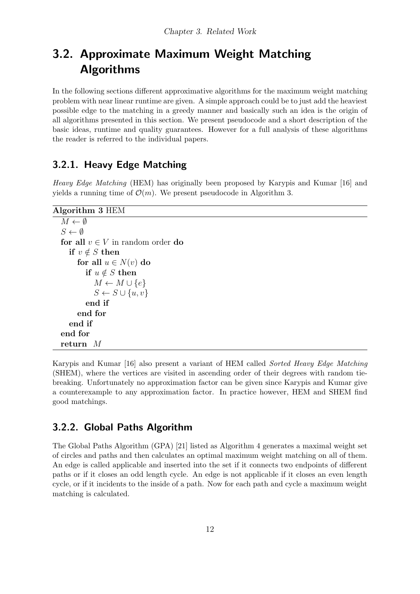## <span id="page-15-0"></span>3.2. Approximate Maximum Weight Matching Algorithms

In the following sections different approximative algorithms for the maximum weight matching problem with near linear runtime are given. A simple approach could be to just add the heaviest possible edge to the matching in a greedy manner and basically such an idea is the origin of all algorithms presented in this section. We present pseudocode and a short description of the basic ideas, runtime and quality guarantees. However for a full analysis of these algorithms the reader is referred to the individual papers.

#### <span id="page-15-1"></span>3.2.1. Heavy Edge Matching

Heavy Edge Matching (HEM) has originally been proposed by Karypis and Kumar [\[16\]](#page-58-10) and yields a running time of  $\mathcal{O}(m)$ . We present pseudocode in Algorithm [3.](#page-15-3)

#### <span id="page-15-3"></span>Algorithm 3 HEM

```
M \leftarrow \emptysetS \leftarrow \emptysetfor all v \in V in random order do
   if v \notin S then
      for all u \in N(v) do
         if u \notin S then
            M \leftarrow M \cup \{e\}S \leftarrow S \cup \{u, v\}end if
      end for
   end if
end for
return M
```
Karypis and Kumar [\[16\]](#page-58-10) also present a variant of HEM called Sorted Heavy Edge Matching (SHEM), where the vertices are visited in ascending order of their degrees with random tiebreaking. Unfortunately no approximation factor can be given since Karypis and Kumar give a counterexample to any approximation factor. In practice however, HEM and SHEM find good matchings.

#### <span id="page-15-2"></span>3.2.2. Global Paths Algorithm

The Global Paths Algorithm (GPA) [\[21\]](#page-59-3) listed as Algorithm [4](#page-16-2) generates a maximal weight set of circles and paths and then calculates an optimal maximum weight matching on all of them. An edge is called applicable and inserted into the set if it connects two endpoints of different paths or if it closes an odd length cycle. An edge is not applicable if it closes an even length cycle, or if it incidents to the inside of a path. Now for each path and cycle a maximum weight matching is calculated.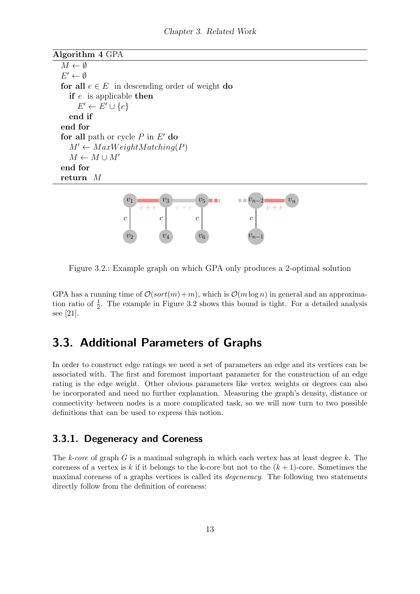<span id="page-16-2"></span>

| Algorithm 4 GPA |  |
|-----------------|--|
|-----------------|--|

 $M \leftarrow \emptyset$  $E' \leftarrow \emptyset$ for all  $e \in E$  in descending order of weight do if  $e$  is applicable then  $E' \leftarrow E' \cup \{e\}$ end if end for for all path or cycle  $P$  in  $E'$  do  $M' \leftarrow MaxWeightMatching(P)$  $M \leftarrow M \cup M'$ end for return M



<span id="page-16-3"></span>Figure 3.2.: Example graph on which GPA only produces a 2-optimal solution

GPA has a running time of  $\mathcal{O}(sort(m+m))$ , which is  $\mathcal{O}(m \log n)$  in general and an approximation ratio of  $\frac{1}{2}$ . The example in Figure [3.2](#page-16-3) shows this bound is tight. For a detailed analysis see [\[21\]](#page-59-3).

### <span id="page-16-0"></span>3.3. Additional Parameters of Graphs

In order to construct edge ratings we need a set of parameters an edge and its vertices can be associated with. The first and foremost important parameter for the construction of an edge rating is the edge weight. Other obvious parameters like vertex weights or degrees can also be incorporated and need no further explanation. Measuring the graph's density, distance or connectivity between nodes is a more complicated task, so we will now turn to two possible definitions that can be used to express this notion.

#### <span id="page-16-1"></span>3.3.1. Degeneracy and Coreness

The k-core of graph G is a maximal subgraph in which each vertex has at least degree k. The coreness of a vertex is k if it belongs to the k-core but not to the  $(k+1)$ -core. Sometimes the maximal coreness of a graphs vertices is called its degeneracy. The following two statements directly follow from the definition of coreness: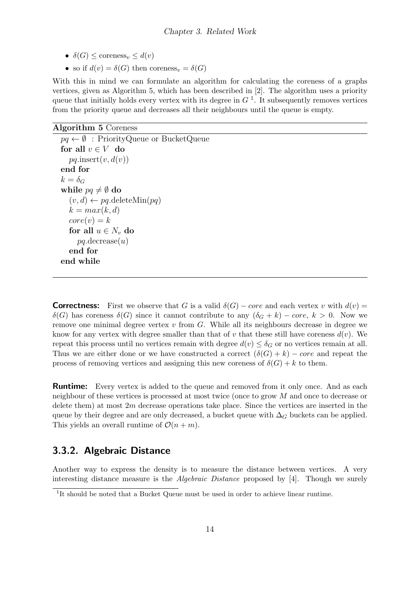- $\delta(G) \leq \text{coreness}_v \leq d(v)$
- so if  $d(v) = \delta(G)$  then coreness<sub>v</sub> =  $\delta(G)$

With this in mind we can formulate an algorithm for calculating the coreness of a graphs vertices, given as Algorithm [5,](#page-17-1) which has been described in [\[2\]](#page-58-11). The algorithm uses a priority queue that initially holds every vertex with its degree in  $G<sup>1</sup>$ . It subsequently removes vertices from the priority queue and decreases all their neighbours until the queue is empty.

#### <span id="page-17-1"></span>Algorithm 5 Coreness

```
pq \leftarrow \emptyset: PriorityQueue or BucketQueue
for all v \in V do
  pa.insert(v, d(v))end for
k = \delta_Gwhile pq \neq \emptyset do
  (v, d) \leftarrow pq.deleteMin(pq)k = max(k, d)core(v) = kfor all u \in N_v do
     pq.decrease(u)end for
end while
```
**Correctness:** First we observe that G is a valid  $\delta(G)$  – core and each vertex v with  $d(v)$  =  $\delta(G)$  has coreness  $\delta(G)$  since it cannot contribute to any  $(\delta_G + k) - core, k > 0$ . Now we remove one minimal degree vertex  $v$  from  $G$ . While all its neighbours decrease in degree we know for any vertex with degree smaller than that of v that these still have coreness  $d(v)$ . We repeat this process until no vertices remain with degree  $d(v) \leq \delta_G$  or no vertices remain at all. Thus we are either done or we have constructed a correct  $(\delta(G) + k)$  – core and repeat the process of removing vertices and assigning this new coreness of  $\delta(G) + k$  to them.

**Runtime:** Every vertex is added to the queue and removed from it only once. And as each neighbour of these vertices is processed at most twice (once to grow M and once to decrease or delete them) at most 2m decrease operations take place. Since the vertices are inserted in the queue by their degree and are only decreased, a bucket queue with  $\Delta_G$  buckets can be applied. This yields an overall runtime of  $\mathcal{O}(n+m)$ .

#### <span id="page-17-0"></span>3.3.2. Algebraic Distance

Another way to express the density is to measure the distance between vertices. A very interesting distance measure is the Algebraic Distance proposed by [\[4\]](#page-58-12). Though we surely

<sup>&</sup>lt;sup>1</sup>It should be noted that a Bucket Queue must be used in order to achieve linear runtime.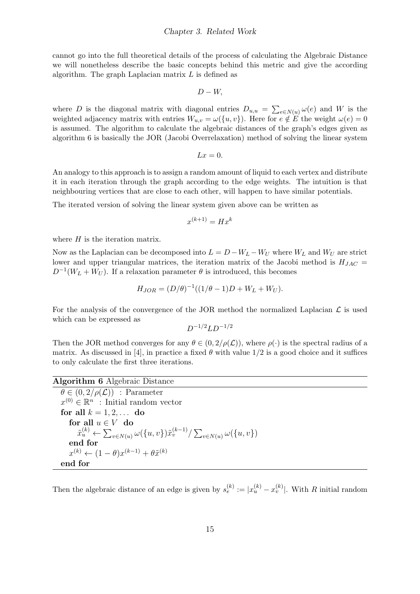cannot go into the full theoretical details of the process of calculating the Algebraic Distance we will nonetheless describe the basic concepts behind this metric and give the according algorithm. The graph Laplacian matrix L is defined as

$$
D-W,
$$

where D is the diagonal matrix with diagonal entries  $D_{u,u} = \sum_{e \in N(u)} \omega(e)$  and W is the weighted adjacency matrix with entries  $W_{u,v} = \omega({u, v})$ . Here for  $e \notin E$  the weight  $\omega(e) = 0$ is assumed. The algorithm to calculate the algebraic distances of the graph's edges given as algorithm [6](#page-18-0) is basically the JOR (Jacobi Overrelaxation) method of solving the linear system

$$
Lx=0.
$$

An analogy to this approach is to assign a random amount of liquid to each vertex and distribute it in each iteration through the graph according to the edge weights. The intuition is that neighbouring vertices that are close to each other, will happen to have similar potentials.

The iterated version of solving the linear system given above can be written as

$$
x^{(k+1)} = Hx^k
$$

where  $H$  is the iteration matrix.

Now as the Laplacian can be decomposed into  $L = D - W_L - W_U$  where  $W_L$  and  $W_U$  are strict lower and upper triangular matrices, the iteration matrix of the Jacobi method is  $H_{JAC}$  =  $D^{-1}(W_L + W_U)$ . If a relaxation parameter  $\theta$  is introduced, this becomes

$$
H_{JOR} = (D/\theta)^{-1}((1/\theta - 1)D + W_L + W_U).
$$

For the analysis of the convergence of the JOR method the normalized Laplacian  $\mathcal L$  is used which can be expressed as

$$
D^{-1/2}LD^{-1/2}
$$

Then the JOR method converges for any  $\theta \in (0, 2/\rho(\mathcal{L}))$ , where  $\rho(\cdot)$  is the spectral radius of a matrix. As discussed in [\[4\]](#page-58-12), in practice a fixed  $\theta$  with value 1/2 is a good choice and it suffices to only calculate the first three iterations.

<span id="page-18-0"></span>

| <b>Algorithm 6</b> Algebraic Distance |  |  |  |
|---------------------------------------|--|--|--|
|---------------------------------------|--|--|--|

| $\theta \in (0, 2/\rho(\mathcal{L}))$ : Parameter                                                                                                      |
|--------------------------------------------------------------------------------------------------------------------------------------------------------|
| $x^{(0)} \in \mathbb{R}^n$ : Initial random vector                                                                                                     |
| for all $k = 1, 2, \ldots$ do                                                                                                                          |
| for all $u \in V$ do                                                                                                                                   |
| $\tilde{x}_{u}^{(k)} \leftarrow \sum_{v \in N(u)} \omega(\lbrace u, v \rbrace) \tilde{x}_{v}^{(k-1)} / \sum_{v \in N(u)} \omega(\lbrace u, v \rbrace)$ |
| end for                                                                                                                                                |
| $x^{(k)} \leftarrow (1-\theta)x^{(k-1)} + \theta \tilde{x}^{(k)}$                                                                                      |
| end for                                                                                                                                                |

Then the algebraic distance of an edge is given by  $s_e^{(k)} := |x_u^{(k)} - x_v^{(k)}|$ . With R initial random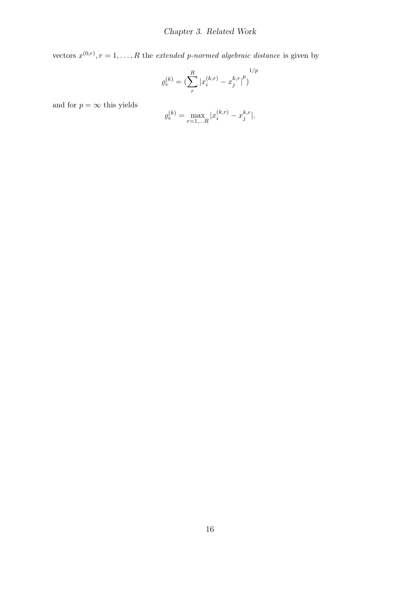vectors  $x^{(0,r)}, r = 1, \ldots, R$  the extended p-normed algebraic distance is given by

$$
\varrho _{e}^{(k)}=(\sum_{r}^{R}\left\vert x_{i}^{(k,r)}-x_{j}^{k,r}\right\vert ^{p})^{1/p}
$$

and for  $p = \infty$  this yields

$$
\varrho_e^{(k)} = \max_{r=1,\ldots R} |x_i^{(k,r)} - x_j^{k,r}|.
$$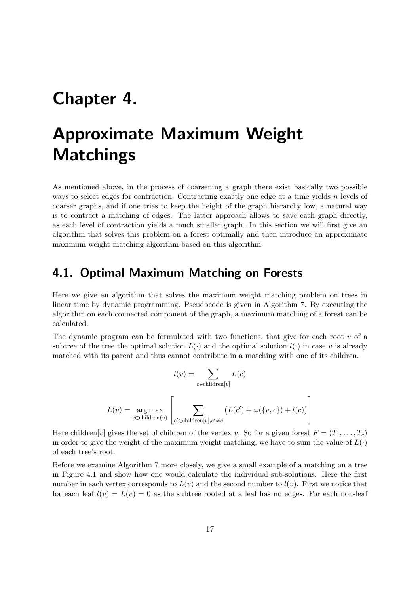## <span id="page-20-0"></span>Chapter 4.

## Approximate Maximum Weight Matchings

As mentioned above, in the process of coarsening a graph there exist basically two possible ways to select edges for contraction. Contracting exactly one edge at a time yields  $n$  levels of coarser graphs, and if one tries to keep the height of the graph hierarchy low, a natural way is to contract a matching of edges. The latter approach allows to save each graph directly, as each level of contraction yields a much smaller graph. In this section we will first give an algorithm that solves this problem on a forest optimally and then introduce an approximate maximum weight matching algorithm based on this algorithm.

### <span id="page-20-1"></span>4.1. Optimal Maximum Matching on Forests

Here we give an algorithm that solves the maximum weight matching problem on trees in linear time by dynamic programming. Pseudocode is given in Algorithm [7.](#page-22-0) By executing the algorithm on each connected component of the graph, a maximum matching of a forest can be calculated.

The dynamic program can be formulated with two functions, that give for each root  $v$  of a subtree of the tree the optimal solution  $L(\cdot)$  and the optimal solution  $l(\cdot)$  in case v is already matched with its parent and thus cannot contribute in a matching with one of its children.

$$
l(v) = \sum_{c \in \text{children}[v]} L(c)
$$

$$
L(v) = \underset{c \in \text{children}(v)}{\arg \max} \left[ \sum_{c' \in \text{children}[v], c' \neq c} (L(c') + \omega(\{v, c\}) + l(c)) \right]
$$

Here children $[v]$  gives the set of children of the vertex v. So for a given forest  $F = (T_1, \ldots, T_c)$ in order to give the weight of the maximum weight matching, we have to sum the value of  $L(\cdot)$ of each tree's root.

Before we examine Algorithm [7](#page-22-0) more closely, we give a small example of a matching on a tree in Figure [4.1](#page-21-1) and show how one would calculate the individual sub-solutions. Here the first number in each vertex corresponds to  $L(v)$  and the second number to  $l(v)$ . First we notice that for each leaf  $l(v) = L(v) = 0$  as the subtree rooted at a leaf has no edges. For each non-leaf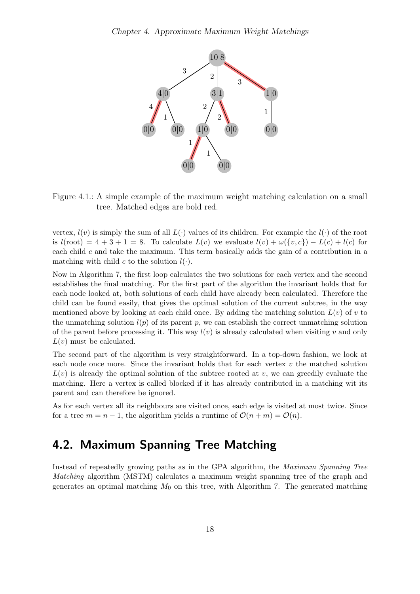

<span id="page-21-1"></span>Figure 4.1.: A simple example of the maximum weight matching calculation on a small tree. Matched edges are bold red.

vertex,  $l(v)$  is simply the sum of all  $L(\cdot)$  values of its children. For example the  $l(\cdot)$  of the root is  $l(\text{root}) = 4 + 3 + 1 = 8$ . To calculate  $L(v)$  we evaluate  $l(v) + \omega({v, c}) - L(c) + l(c)$  for each child  $c$  and take the maximum. This term basically adds the gain of a contribution in a matching with child c to the solution  $l(\cdot)$ .

Now in Algorithm [7,](#page-22-0) the first loop calculates the two solutions for each vertex and the second establishes the final matching. For the first part of the algorithm the invariant holds that for each node looked at, both solutions of each child have already been calculated. Therefore the child can be found easily, that gives the optimal solution of the current subtree, in the way mentioned above by looking at each child once. By adding the matching solution  $L(v)$  of v to the unmatching solution  $l(p)$  of its parent p, we can establish the correct unmatching solution of the parent before processing it. This way  $l(v)$  is already calculated when visiting v and only  $L(v)$  must be calculated.

The second part of the algorithm is very straightforward. In a top-down fashion, we look at each node once more. Since the invariant holds that for each vertex  $v$  the matched solution  $L(v)$  is already the optimal solution of the subtree rooted at v, we can greedily evaluate the matching. Here a vertex is called blocked if it has already contributed in a matching wit its parent and can therefore be ignored.

As for each vertex all its neighbours are visited once, each edge is visited at most twice. Since for a tree  $m = n - 1$ , the algorithm yields a runtime of  $\mathcal{O}(n + m) = \mathcal{O}(n)$ .

### <span id="page-21-0"></span>4.2. Maximum Spanning Tree Matching

Instead of repeatedly growing paths as in the GPA algorithm, the Maximum Spanning Tree Matching algorithm (MSTM) calculates a maximum weight spanning tree of the graph and generates an optimal matching  $M_0$  on this tree, with Algorithm [7.](#page-22-0) The generated matching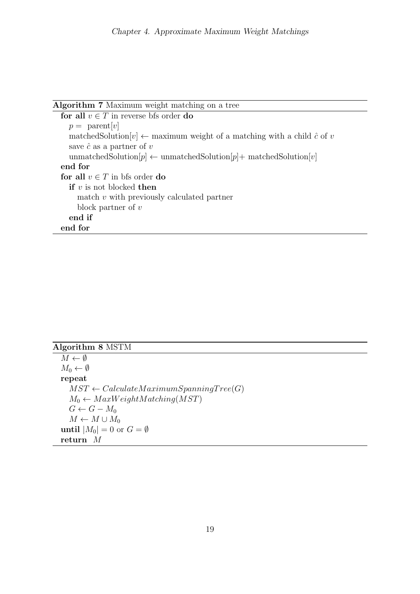<span id="page-22-0"></span>Algorithm 7 Maximum weight matching on a tree

for all  $v \in T$  in reverse bfs order do  $p =$  parent[v] matchedSolution $[v] \leftarrow$  maximum weight of a matching with a child  $\hat{c}$  of v save  $\hat{c}$  as a partner of v unmatchedSolution $[p] \leftarrow$ unmatchedSolution $[p] +$ matchedSolution $[v]$ end for for all  $v \in T$  in bfs order do if  $v$  is not blocked then match v with previously calculated partner block partner of  $v$ end if end for

| Algorithm 8 MSTM |  |  |  |
|------------------|--|--|--|
|------------------|--|--|--|

 $M \leftarrow \emptyset$  $M_0 \leftarrow \emptyset$ repeat  $MST \leftarrow CalculateMaximum SpanningTree(G)$  $M_0 \leftarrow MaxWeightMatching(MST)$  $G \leftarrow G - M_0$  $M \leftarrow M \cup M_0$ until  $|M_0| = 0$  or  $G = \emptyset$ return M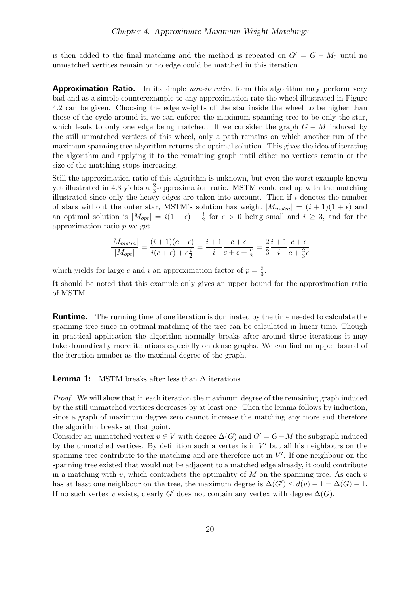is then added to the final matching and the method is repeated on  $G' = G - M_0$  until no unmatched vertices remain or no edge could be matched in this iteration.

**Approximation Ratio.** In its simple *non-iterative* form this algorithm may perform very bad and as a simple counterexample to any approximation rate the wheel illustrated in Figure [4.2](#page-24-0) can be given. Choosing the edge weights of the star inside the wheel to be higher than those of the cycle around it, we can enforce the maximum spanning tree to be only the star, which leads to only one edge being matched. If we consider the graph  $G - M$  induced by the still unmatched vertices of this wheel, only a path remains on which another run of the maximum spanning tree algorithm returns the optimal solution. This gives the idea of iterating the algorithm and applying it to the remaining graph until either no vertices remain or the size of the matching stops increasing.

Still the approximation ratio of this algorithm is unknown, but even the worst example known yet illustrated in [4.3](#page-25-0) yields a  $\frac{2}{3}$ -approximation ratio. MSTM could end up with the matching illustrated since only the heavy edges are taken into account. Then if  $i$  denotes the number of stars without the outer star, MSTM's solution has weight  $|M_{mstm}| = (i + 1)(1 + \epsilon)$  and an optimal solution is  $|M_{opt}| = i(1 + \epsilon) + \frac{i}{2}$  for  $\epsilon > 0$  being small and  $i \geq 3$ , and for the approximation ratio p we get

$$
\frac{|M_{mstm}|}{|M_{opt}|} = \frac{(i+1)(c+\epsilon)}{i(c+\epsilon) + c\frac{i}{2}} = \frac{i+1}{i}\frac{c+\epsilon}{c+\epsilon+\frac{c}{2}} = \frac{2}{3}\frac{i+1}{i}\frac{c+\epsilon}{c+\frac{2}{3}\epsilon}
$$

which yields for large c and i an approximation factor of  $p = \frac{2}{3}$  $\frac{2}{3}$ .

It should be noted that this example only gives an upper bound for the approximation ratio of MSTM.

Runtime. The running time of one iteration is dominated by the time needed to calculate the spanning tree since an optimal matching of the tree can be calculated in linear time. Though in practical application the algorithm normally breaks after around three iterations it may take dramatically more iterations especially on dense graphs. We can find an upper bound of the iteration number as the maximal degree of the graph.

**Lemma 1:** MSTM breaks after less than  $\Delta$  iterations.

Proof. We will show that in each iteration the maximum degree of the remaining graph induced by the still unmatched vertices decreases by at least one. Then the lemma follows by induction, since a graph of maximum degree zero cannot increase the matching any more and therefore the algorithm breaks at that point.

Consider an unmatched vertex  $v \in V$  with degree  $\Delta(G)$  and  $G' = G - M$  the subgraph induced by the unmatched vertices. By definition such a vertex is in  $V'$  but all his neighbours on the spanning tree contribute to the matching and are therefore not in  $V'$ . If one neighbour on the spanning tree existed that would not be adjacent to a matched edge already, it could contribute in a matching with v, which contradicts the optimality of  $M$  on the spanning tree. As each v has at least one neighbour on the tree, the maximum degree is  $\Delta(G') \leq d(v) - 1 = \Delta(G) - 1$ . If no such vertex v exists, clearly G' does not contain any vertex with degree  $\Delta(G)$ .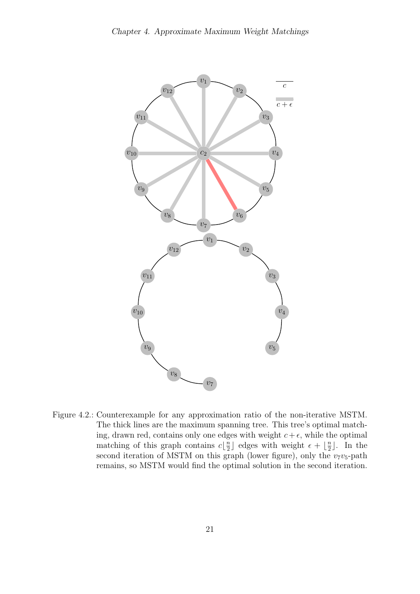

<span id="page-24-0"></span>Figure 4.2.: Counterexample for any approximation ratio of the non-iterative MSTM. The thick lines are the maximum spanning tree. This tree's optimal matching, drawn red, contains only one edges with weight  $c+\epsilon$ , while the optimal matching of this graph contains  $c\left\lfloor \frac{n}{2} \right\rfloor$  $\frac{n}{2}$  edges with weight  $\epsilon + \lfloor \frac{n}{2} \rfloor$  $\frac{n}{2}$ . In the second iteration of MSTM on this graph (lower figure), only the  $v_7v_5$ -path remains, so MSTM would find the optimal solution in the second iteration.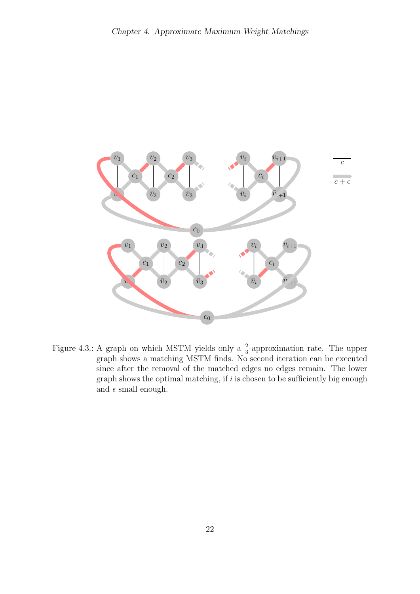

<span id="page-25-0"></span>Figure 4.3.: A graph on which MSTM yields only a  $\frac{2}{3}$ -approximation rate. The upper graph shows a matching MSTM finds. No second iteration can be executed since after the removal of the matched edges no edges remain. The lower graph shows the optimal matching, if  $i$  is chosen to be sufficiently big enough and  $\epsilon$  small enough.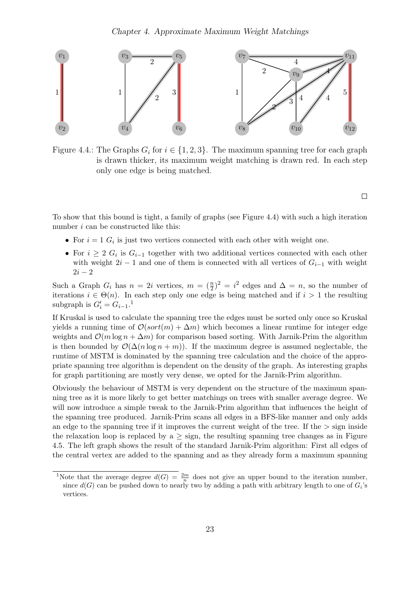

<span id="page-26-0"></span>Figure 4.4.: The Graphs  $G_i$  for  $i \in \{1, 2, 3\}$ . The maximum spanning tree for each graph is drawn thicker, its maximum weight matching is drawn red. In each step only one edge is being matched.

 $\Box$ 

To show that this bound is tight, a family of graphs (see Figure [4.4\)](#page-26-0) with such a high iteration number  $i$  can be constructed like this:

- For  $i = 1$   $G_i$  is just two vertices connected with each other with weight one.
- For  $i \geq 2$   $G_i$  is  $G_{i-1}$  together with two additional vertices connected with each other with weight  $2i - 1$  and one of them is connected with all vertices of  $G_{i-1}$  with weight  $2i - 2$

Such a Graph  $G_i$  has  $n = 2i$  vertices,  $m = (\frac{n}{2})^2 = i^2$  edges and  $\Delta = n$ , so the number of iterations  $i \in \Theta(n)$ . In each step only one edge is being matched and if  $i > 1$  the resulting subgraph is  $G'_i = G_{i-1}.^1$ 

If Kruskal is used to calculate the spanning tree the edges must be sorted only once so Kruskal yields a running time of  $\mathcal{O}(sort(m) + \Delta m)$  which becomes a linear runtime for integer edge weights and  $\mathcal{O}(m \log n + \Delta m)$  for comparison based sorting. With Jarnik-Prim the algorithm is then bounded by  $\mathcal{O}(\Delta(n \log n + m))$ . If the maximum degree is assumed neglectable, the runtime of MSTM is dominated by the spanning tree calculation and the choice of the appropriate spanning tree algorithm is dependent on the density of the graph. As interesting graphs for graph partitioning are mostly very dense, we opted for the Jarnik-Prim algorithm.

Obviously the behaviour of MSTM is very dependent on the structure of the maximum spanning tree as it is more likely to get better matchings on trees with smaller average degree. We will now introduce a simple tweak to the Jarnik-Prim algorithm that influences the height of the spanning tree produced. Jarnik-Prim scans all edges in a BFS-like manner and only adds an edge to the spanning tree if it improves the current weight of the tree. If the  $>$  sign inside the relaxation loop is replaced by  $a \geq$  sign, the resulting spanning tree changes as in Figure [4.5.](#page-27-0) The left graph shows the result of the standard Jarnik-Prim algorithm: First all edges of the central vertex are added to the spanning and as they already form a maximum spanning

<sup>&</sup>lt;sup>1</sup>Note that the average degree  $d(G) = \frac{2m}{n}$  does not give an upper bound to the iteration number, since  $d(G)$  can be pushed down to nearly two by adding a path with arbitrary length to one of  $G_i$ 's vertices.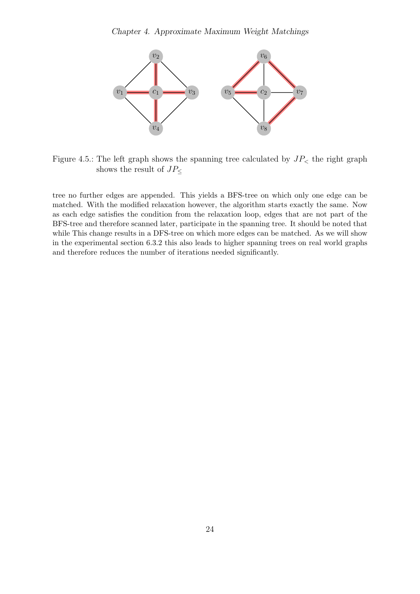

<span id="page-27-0"></span>Figure 4.5.: The left graph shows the spanning tree calculated by  $JP<sub>lt</sub>$  the right graph shows the result of  $JP_\leq$ 

tree no further edges are appended. This yields a BFS-tree on which only one edge can be matched. With the modified relaxation however, the algorithm starts exactly the same. Now as each edge satisfies the condition from the relaxation loop, edges that are not part of the BFS-tree and therefore scanned later, participate in the spanning tree. It should be noted that while This change results in a DFS-tree on which more edges can be matched. As we will show in the experimental section [6.3.2](#page-36-2) this also leads to higher spanning trees on real world graphs and therefore reduces the number of iterations needed significantly.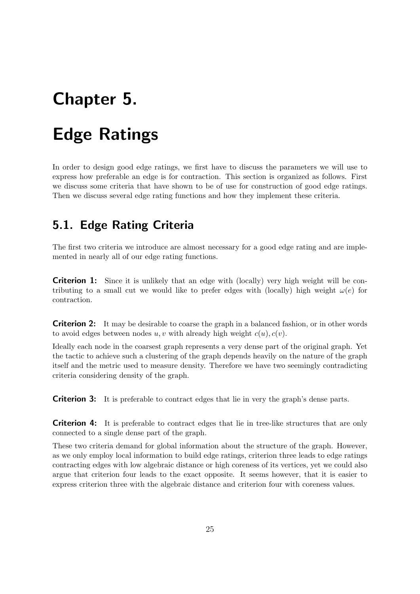# <span id="page-28-0"></span>Chapter 5.

## Edge Ratings

In order to design good edge ratings, we first have to discuss the parameters we will use to express how preferable an edge is for contraction. This section is organized as follows. First we discuss some criteria that have shown to be of use for construction of good edge ratings. Then we discuss several edge rating functions and how they implement these criteria.

### <span id="page-28-1"></span>5.1. Edge Rating Criteria

The first two criteria we introduce are almost necessary for a good edge rating and are implemented in nearly all of our edge rating functions.

**Criterion 1:** Since it is unlikely that an edge with (locally) very high weight will be contributing to a small cut we would like to prefer edges with (locally) high weight  $\omega(e)$  for contraction.

**Criterion 2:** It may be desirable to coarse the graph in a balanced fashion, or in other words to avoid edges between nodes u, v with already high weight  $c(u)$ ,  $c(v)$ .

Ideally each node in the coarsest graph represents a very dense part of the original graph. Yet the tactic to achieve such a clustering of the graph depends heavily on the nature of the graph itself and the metric used to measure density. Therefore we have two seemingly contradicting criteria considering density of the graph.

**Criterion 3:** It is preferable to contract edges that lie in very the graph's dense parts.

**Criterion 4:** It is preferable to contract edges that lie in tree-like structures that are only connected to a single dense part of the graph.

These two criteria demand for global information about the structure of the graph. However, as we only employ local information to build edge ratings, criterion three leads to edge ratings contracting edges with low algebraic distance or high coreness of its vertices, yet we could also argue that criterion four leads to the exact opposite. It seems however, that it is easier to express criterion three with the algebraic distance and criterion four with coreness values.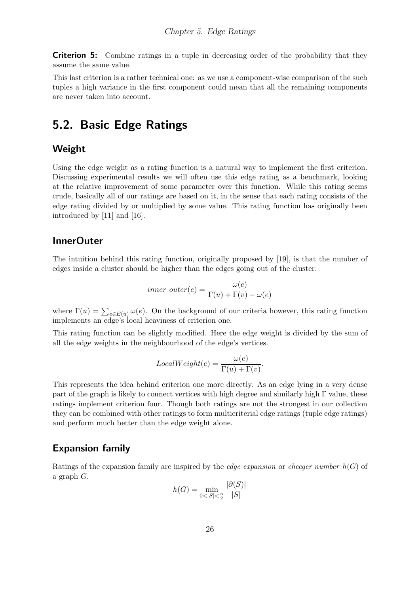**Criterion 5:** Combine ratings in a tuple in decreasing order of the probability that they assume the same value.

This last criterion is a rather technical one: as we use a component-wise comparison of the such tuples a high variance in the first component could mean that all the remaining components are never taken into account.

### <span id="page-29-0"></span>5.2. Basic Edge Ratings

#### Weight

Using the edge weight as a rating function is a natural way to implement the first criterion. Discussing experimental results we will often use this edge rating as a benchmark, looking at the relative improvement of some parameter over this function. While this rating seems crude, basically all of our ratings are based on it, in the sense that each rating consists of the edge rating divided by or multiplied by some value. This rating function has originally been introduced by [\[11\]](#page-58-13) and [\[16\]](#page-58-10).

#### InnerOuter

The intuition behind this rating function, originally proposed by [\[19\]](#page-59-8), is that the number of edges inside a cluster should be higher than the edges going out of the cluster.

$$
inner\_outer(e) = \frac{\omega(e)}{\Gamma(u) + \Gamma(v) - \omega(e)}
$$

where  $\Gamma(u) = \sum_{e \in E(u)} \omega(e)$ . On the background of our criteria however, this rating function implements an edge's local heaviness of criterion one.

This rating function can be slightly modified. Here the edge weight is divided by the sum of all the edge weights in the neighbourhood of the edge's vertices.

$$
LocalWeight(e) = \frac{\omega(e)}{\Gamma(u) + \Gamma(v)}.
$$

This represents the idea behind criterion one more directly. As an edge lying in a very dense part of the graph is likely to connect vertices with high degree and similarly high  $\Gamma$  value, these ratings implement criterion four. Though both ratings are not the strongest in our collection they can be combined with other ratings to form multicriterial edge ratings (tuple edge ratings) and perform much better than the edge weight alone.

#### Expansion family

Ratings of the expansion family are inspired by the *edge expansion* or *cheeger number*  $h(G)$  of a graph G.

$$
h(G) = \min_{0 < |S| < \frac{n}{2}} \frac{|\partial(S)|}{|S|}
$$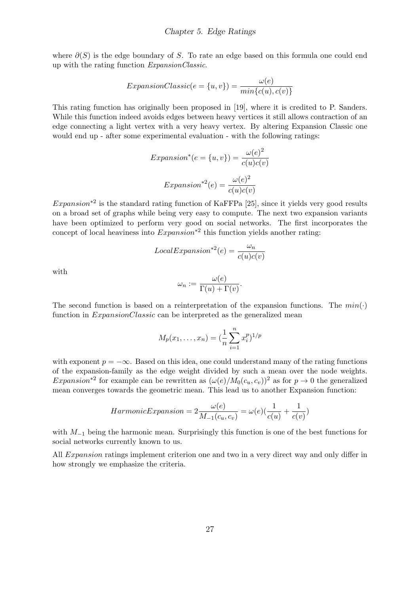where  $\partial(S)$  is the edge boundary of S. To rate an edge based on this formula one could end up with the rating function ExpansionClassic.

$$
ExpansionClassic(e = \{u, v\}) = \frac{\omega(e)}{min\{c(u), c(v)\}}
$$

This rating function has originally been proposed in [\[19\]](#page-59-8), where it is credited to P. Sanders. While this function indeed avoids edges between heavy vertices it still allows contraction of an edge connecting a light vertex with a very heavy vertex. By altering Expansion Classic one would end up - after some experimental evaluation - with the following ratings:

$$
Expansion^{*}(e = \{u, v\}) = \frac{\omega(e)^{2}}{c(u)c(v)}
$$

$$
Expansion^{*2}(e) = \frac{\omega(e)^{2}}{c(u)c(v)}
$$

 $Expansion^{*2}$  is the standard rating function of KaFFPa [\[25\]](#page-59-0), since it yields very good results on a broad set of graphs while being very easy to compute. The next two expansion variants have been optimized to perform very good on social networks. The first incorporates the concept of local heaviness into  $Expansion^{*2}$  this function yields another rating:

$$
LocalExpansion^{*2}(e) = \frac{\omega_n}{c(u)c(v)}
$$

with

$$
\omega_n := \frac{\omega(e)}{\Gamma(u) + \Gamma(v)}.
$$

The second function is based on a reinterpretation of the expansion functions. The  $min(\cdot)$ function in ExpansionClassic can be interpreted as the generalized mean

$$
M_p(x_1, \ldots, x_n) = (\frac{1}{n} \sum_{i=1}^n x_i^p)^{1/p}
$$

with exponent  $p = -\infty$ . Based on this idea, one could understand many of the rating functions of the expansion-family as the edge weight divided by such a mean over the node weights. Expansion<sup>\*2</sup> for example can be rewritten as  $(\omega(e)/M_0(c_u, c_v))^2$  as for  $p \to 0$  the generalized mean converges towards the geometric mean. This lead us to another Expansion function:

$$
Harmonic Expansion = 2\frac{\omega(e)}{M_{-1}(c_u, c_v)} = \omega(e)(\frac{1}{c(u)} + \frac{1}{c(v)})
$$

with  $M_{-1}$  being the harmonic mean. Surprisingly this function is one of the best functions for social networks currently known to us.

All Expansion ratings implement criterion one and two in a very direct way and only differ in how strongly we emphasize the criteria.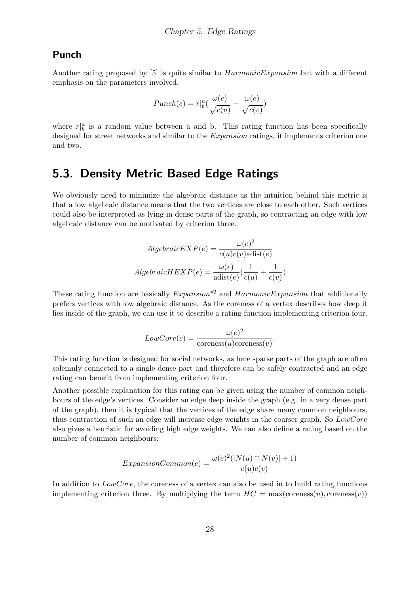#### Punch

Another rating proposed by [\[5\]](#page-58-14) is quite similar to  $Harmonic Expansion$  but with a different emphasis on the parameters involved.

$$
Punch(e) = r\vert_b^a \left(\frac{\omega(e)}{\sqrt{c(u)}} + \frac{\omega(e)}{\sqrt{c(v)}}\right)
$$

where  $r|_b^a$  is a random value between a and b. This rating function has been specifically designed for street networks and similar to the *Expansion* ratings, it implements criterion one and two.

### <span id="page-31-0"></span>5.3. Density Metric Based Edge Ratings

We obviously need to minimize the algebraic distance as the intuition behind this metric is that a low algebraic distance means that the two vertices are close to each other. Such vertices could also be interpreted as lying in dense parts of the graph, so contracting an edge with low algebraic distance can be motivated by criterion three.

$$
AlgebraicEXP(e) = \frac{\omega(e)^2}{c(u)c(v)\text{adist}(e)}
$$

$$
AlgebraicHEXP(e) = \frac{\omega(e)}{\text{adist}(e)}(\frac{1}{c(u)} + \frac{1}{c(v)})
$$

These rating function are basically  $Expansion^*{}^2$  and  $Harmonic Expansion$  that additionally prefers vertices with low algebraic distance. As the coreness of a vertex describes how deep it lies inside of the graph, we can use it to describe a rating function implementing criterion four.

$$
LowCore(e) = \frac{\omega(e)^2}{\text{coreness}(u)\text{coreness}(v)}.
$$

This rating function is designed for social networks, as here sparse parts of the graph are often solemnly connected to a single dense part and therefore can be safely contracted and an edge rating can benefit from implementing criterion four.

Another possible explanation for this rating can be given using the number of common neighbours of the edge's vertices. Consider an edge deep inside the graph (e.g. in a very dense part of the graph), then it is typical that the vertices of the edge share many common neighbours, thus contraction of such an edge will increase edge weights in the coarser graph. So LowCore also gives a heuristic for avoiding high edge weights. We can also define a rating based on the number of common neighbours:

$$
ExpansionCommon(e) = \frac{\omega(e)^{2}(|N(u) \cap N(v)|+1)}{c(u)c(v)}
$$

In addition to *LowCore*, the coreness of a vertex can also be used in to build rating functions implementing criterion three. By multiplying the term  $HC = \max(\text{coreness}(u), \text{coreness}(v))$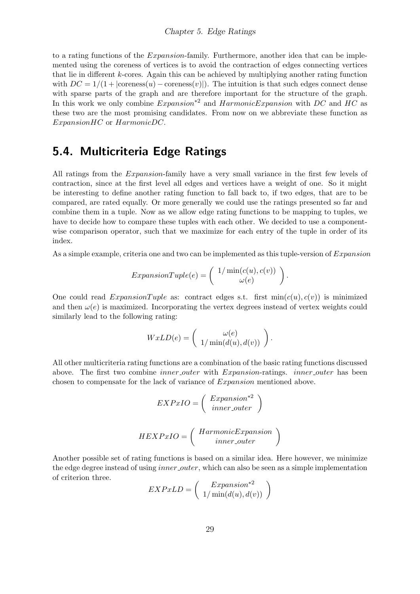to a rating functions of the Expansion-family. Furthermore, another idea that can be implemented using the coreness of vertices is to avoid the contraction of edges connecting vertices that lie in different k-cores. Again this can be achieved by multiplying another rating function with  $DC = 1/(1 + |\text{coreness}(u) - \text{coreness}(v)|)$ . The intuition is that such edges connect dense with sparse parts of the graph and are therefore important for the structure of the graph. In this work we only combine  $Expansion^{*2}$  and  $Harmonic Expansion$  with DC and HC as these two are the most promising candidates. From now on we abbreviate these function as ExpansionHC or HarmonicDC.

### <span id="page-32-0"></span>5.4. Multicriteria Edge Ratings

All ratings from the Expansion-family have a very small variance in the first few levels of contraction, since at the first level all edges and vertices have a weight of one. So it might be interesting to define another rating function to fall back to, if two edges, that are to be compared, are rated equally. Or more generally we could use the ratings presented so far and combine them in a tuple. Now as we allow edge rating functions to be mapping to tuples, we have to decide how to compare these tuples with each other. We decided to use a componentwise comparison operator, such that we maximize for each entry of the tuple in order of its index.

As a simple example, criteria one and two can be implemented as this tuple-version of Expansion

$$
ExpansionTuple(e) = \begin{pmatrix} 1/\min(c(u), c(v)) \\ \omega(e) \end{pmatrix}.
$$

One could read  $ExpansionTuple$  as: contract edges s.t. first min $(c(u), c(v))$  is minimized and then  $\omega(e)$  is maximized. Incorporating the vertex degrees instead of vertex weights could similarly lead to the following rating:

$$
WxLD(e) = \begin{pmatrix} \omega(e) \\ 1/\min(d(u), d(v)) \end{pmatrix}.
$$

All other multicriteria rating functions are a combination of the basic rating functions discussed above. The first two combine *inner-outer* with *Expansion*-ratings. *inner-outer* has been chosen to compensate for the lack of variance of Expansion mentioned above.

$$
EXPxIO = \left( \begin{array}{c} Expansion^{*2} \\ inner\_outer \end{array} \right)
$$

$$
HEXPxIO = \left( \begin{array}{c} HarmonicExpansion \\ inner\_outer \end{array} \right)
$$

Another possible set of rating functions is based on a similar idea. Here however, we minimize the edge degree instead of using *inner outer*, which can also be seen as a simple implementation of criterion three.

$$
EXPxLD = \left( \begin{array}{c} Expansion^{*2} \\ 1/\min(d(u), d(v)) \end{array} \right)
$$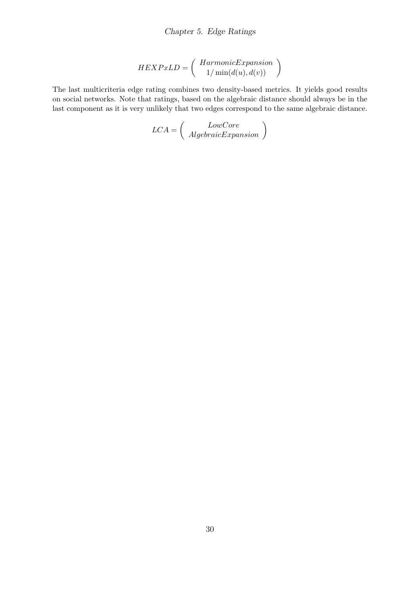$$
HEXPxLD = \left(\begin{array}{c} HarmonicExpansion \\ 1/\min(d(u), d(v)) \end{array}\right)
$$

The last multicriteria edge rating combines two density-based metrics. It yields good results on social networks. Note that ratings, based on the algebraic distance should always be in the last component as it is very unlikely that two edges correspond to the same algebraic distance.

$$
LCA = \left(\begin{array}{c} LowCore\\ AlgebraicExpansion \end{array}\right)
$$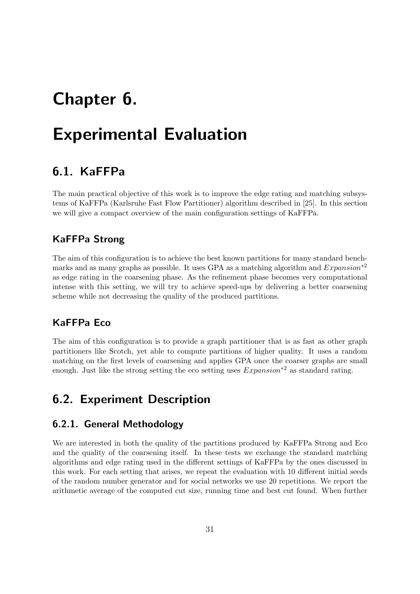## <span id="page-34-0"></span>Chapter 6.

## Experimental Evaluation

### <span id="page-34-1"></span>6.1. KaFFPa

The main practical objective of this work is to improve the edge rating and matching subsystems of KaFFPa (Karlsruhe Fast Flow Partitioner) algorithm described in [\[25\]](#page-59-0). In this section we will give a compact overview of the main configuration settings of KaFFPa.

#### KaFFPa Strong

The aim of this configuration is to achieve the best known partitions for many standard benchmarks and as many graphs as possible. It uses GPA as a matching algorithm and  $Expansion*^2$ as edge rating in the coarsening phase. As the refinement phase becomes very computational intense with this setting, we will try to achieve speed-ups by delivering a better coarsening scheme while not decreasing the quality of the produced partitions.

#### KaFFPa Eco

The aim of this configuration is to provide a graph partitioner that is as fast as other graph partitioners like Scotch, yet able to compute partitions of higher quality. It uses a random matching on the first levels of coarsening and applies GPA once the coarser graphs are small enough. Just like the strong setting the eco setting uses  $Expanion^*{}^2$  as standard rating.

### <span id="page-34-2"></span>6.2. Experiment Description

#### <span id="page-34-3"></span>6.2.1. General Methodology

We are interested in both the quality of the partitions produced by KaFFPa Strong and Eco and the quality of the coarsening itself. In these tests we exchange the standard matching algorithms and edge rating used in the different settings of KaFFPa by the ones discussed in this work. For each setting that arises, we repeat the evaluation with 10 different initial seeds of the random number generator and for social networks we use 20 repetitions. We report the arithmetic average of the computed cut size, running time and best cut found. When further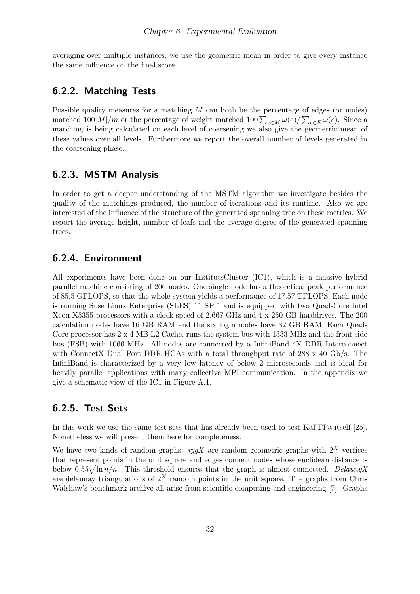averaging over multiple instances, we use the geometric mean in order to give every instance the same influence on the final score.

#### <span id="page-35-0"></span>6.2.2. Matching Tests

Possible quality measures for a matching M can both be the percentage of edges (or nodes) matched  $100|M|/m$  or the percentage of weight matched  $100\sum_{e\in M}\omega(e)/\sum_{e\in E}\omega(e)$ . Since a matching is being calculated on each level of coarsening we also give the geometric mean of these values over all levels. Furthermore we report the overall number of levels generated in the coarsening phase.

#### <span id="page-35-1"></span>6.2.3. MSTM Analysis

In order to get a deeper understanding of the MSTM algorithm we investigate besides the quality of the matchings produced, the number of iterations and its runtime. Also we are interested of the influence of the structure of the generated spanning tree on these metrics. We report the average height, number of leafs and the average degree of the generated spanning trees.

#### <span id="page-35-2"></span>6.2.4. Environment

All experiments have been done on our InstitutsCluster (IC1), which is a massive hybrid parallel machine consisting of 206 nodes. One single node has a theoretical peak performance of 85.5 GFLOPS, so that the whole system yields a performance of 17.57 TFLOPS. Each node is running Suse Linux Enterprise (SLES) 11 SP 1 and is equipped with two Quad-Core Intel Xeon X5355 processors with a clock speed of 2.667 GHz and 4 x 250 GB harddrives. The 200 calculation nodes have 16 GB RAM and the six login nodes have 32 GB RAM. Each Quad-Core processor has 2 x 4 MB L2 Cache, runs the system bus with 1333 MHz and the front side bus (FSB) with 1066 MHz. All nodes are connected by a InfiniBand 4X DDR Interconnect with ConnectX Dual Port DDR HCAs with a total throughput rate of 288 x 40 Gb/s. The InfiniBand is characterized by a very low latency of below 2 microseconds and is ideal for heavily parallel applications with many collective MPI communication. In the appendix we give a schematic view of the IC1 in Figure [A.1.](#page-47-1)

#### <span id="page-35-3"></span>6.2.5. Test Sets

In this work we use the same test sets that has already been used to test KaFFPa itself [\[25\]](#page-59-0). Nonetheless we will present them here for completeness.

We have two kinds of random graphs:  $\text{rg}X$  are random geometric graphs with  $2^X$  vertices that represent points in the unit square and edges connect nodes whose euclidean distance is below  $0.55\sqrt{\ln n/n}$ . This threshold ensures that the graph is almost connected. DelaunyX are delaunay triangulations of  $2<sup>X</sup>$  random points in the unit square. The graphs from Chris Walshaw's benchmark archive all arise from scientific computing and engineering [\[7\]](#page-58-15). Graphs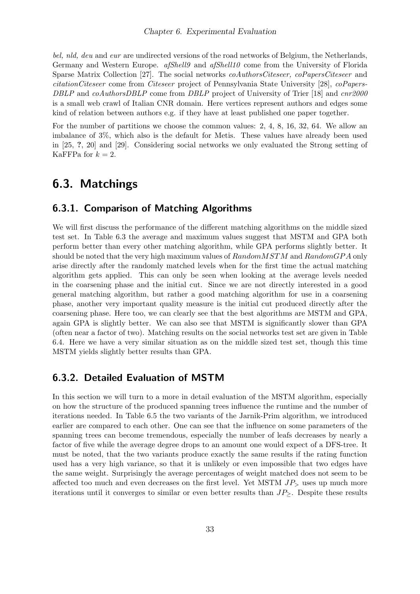bel, nld, deu and eur are undirected versions of the road networks of Belgium, the Netherlands, Germany and Western Europe. afShell9 and afShell10 come from the University of Florida Sparse Matrix Collection [\[27\]](#page-59-9). The social networks coAuthorsCiteseer, coPapersCiteseer and citationCiteseer come from Citeseer project of Pennsylvania State University [\[28\]](#page-59-10), coPapers-DBLP and coAuthorsDBLP come from DBLP project of University of Trier [\[18\]](#page-59-11) and cnr2000 is a small web crawl of Italian CNR domain. Here vertices represent authors and edges some kind of relation between authors e.g. if they have at least published one paper together.

For the number of partitions we choose the common values: 2, 4, 8, 16, 32, 64. We allow an imbalance of 3%, which also is the default for Metis. These values have already been used in [\[25,](#page-59-0) ?, [20\]](#page-59-12) and [\[29\]](#page-59-13). Considering social networks we only evaluated the Strong setting of KaFFPa for  $k = 2$ .

### <span id="page-36-0"></span>6.3. Matchings

#### <span id="page-36-1"></span>6.3.1. Comparison of Matching Algorithms

We will first discuss the performance of the different matching algorithms on the middle sized test set. In Table [6.3](#page-39-0) the average and maximum values suggest that MSTM and GPA both perform better than every other matching algorithm, while GPA performs slightly better. It should be noted that the very high maximum values of  $RandomMSTM$  and  $RandomGPA$  only arise directly after the randomly matched levels when for the first time the actual matching algorithm gets applied. This can only be seen when looking at the average levels needed in the coarsening phase and the initial cut. Since we are not directly interested in a good general matching algorithm, but rather a good matching algorithm for use in a coarsening phase, another very important quality measure is the initial cut produced directly after the coarsening phase. Here too, we can clearly see that the best algorithms are MSTM and GPA, again GPA is slightly better. We can also see that MSTM is significantly slower than GPA (often near a factor of two). Matching results on the social networks test set are given in Table [6.4.](#page-39-1) Here we have a very similar situation as on the middle sized test set, though this time MSTM yields slightly better results than GPA.

#### <span id="page-36-2"></span>6.3.2. Detailed Evaluation of MSTM

In this section we will turn to a more in detail evaluation of the MSTM algorithm, especially on how the structure of the produced spanning trees influence the runtime and the number of iterations needed. In Table [6.5](#page-40-2) the two variants of the Jarnik-Prim algorithm, we introduced earlier are compared to each other. One can see that the influence on some parameters of the spanning trees can become tremendous, especially the number of leafs decreases by nearly a factor of five while the average degree drops to an amount one would expect of a DFS-tree. It must be noted, that the two variants produce exactly the same results if the rating function used has a very high variance, so that it is unlikely or even impossible that two edges have the same weight. Surprisingly the average percentages of weight matched does not seem to be affected too much and even decreases on the first level. Yet MSTM  $JP<sub>></sub>$  uses up much more iterations until it converges to similar or even better results than  $JP_{\geq}$ . Despite these results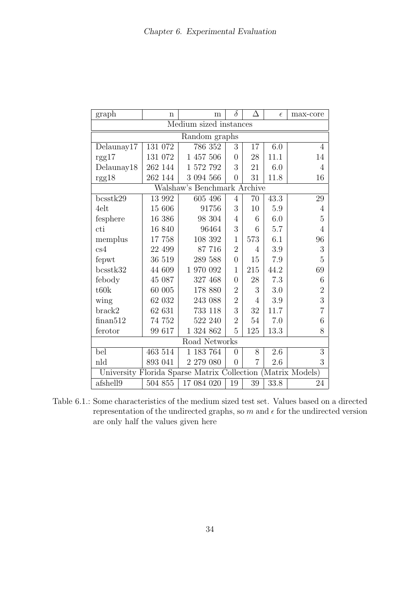| graph      | n       | m                                           | $\delta$       | Δ              | $\epsilon$ | max-core         |
|------------|---------|---------------------------------------------|----------------|----------------|------------|------------------|
|            |         | Medium sized instances                      |                |                |            |                  |
|            |         | Random graphs                               |                |                |            |                  |
| Delaunay17 | 131 072 | 786 352                                     | 3              | 17             | 6.0        | $\overline{4}$   |
| rgg17      | 131 072 | 1 457 506                                   | $\overline{0}$ | 28             | 11.1       | 14               |
| Delaunay18 | 262 144 | 1 572 792                                   | 3              | 21             | 6.0        | $\overline{4}$   |
| rgg18      | 262 144 | 3 094 566                                   | $\overline{0}$ | 31             | 11.8       | 16               |
|            |         | Walshaw's Benchmark Archive                 |                |                |            |                  |
| bcsstk29   | 13 992  | 605 496                                     | $\overline{4}$ | 70             | 43.3       | 29               |
| 4elt       | 15 606  | 91756                                       | 3              | 10             | 5.9        | $\overline{4}$   |
| fesphere   | 16 386  | 98 304                                      | 4              | 6              | 6.0        | $\overline{5}$   |
| cti        | 16 840  | 96464                                       | 3              | 6              | 5.7        | $\overline{4}$   |
| memplus    | 17 758  | 108 392                                     | $\mathbf{1}$   | 573            | 6.1        | 96               |
| cs4        | 22 499  | 87 716                                      | $\overline{2}$ | 4              | 3.9        | $\boldsymbol{3}$ |
| fepwt      | 36 519  | 289 588                                     | $\overline{0}$ | 15             | 7.9        | $\overline{5}$   |
| bcsstk32   | 44 609  | 1 970 092                                   | $\overline{1}$ | 215            | 44.2       | 69               |
| febody     | 45 087  | 327 468                                     | 0              | 28             | 7.3        | 6                |
| t60k       | 60 005  | 178 880                                     | $\overline{2}$ | 3              | 3.0        | $\overline{2}$   |
| wing       | 62 032  | 243 088                                     | $\overline{2}$ | 4              | 3.9        | 3                |
| brack2     | 62 631  | 733 118                                     | 3              | 32             | 11.7       | $\overline{7}$   |
| finan512   | 74 752  | 522 240                                     | $\overline{2}$ | 54             | 7.0        | 6                |
| ferotor    | 99 617  | 1 324 862                                   | 5              | 125            | 13.3       | 8                |
|            |         | Road Networks                               |                |                |            |                  |
| bel        | 463 514 | 1 183 764                                   | $\overline{0}$ | 8              | 2.6        | 3                |
| nld        | 893 041 | 2 279 080                                   | $\overline{0}$ | $\overline{7}$ | 2.6        | 3                |
|            |         | University Florida Sparse Matrix Collection |                |                |            | (Matrix Models)  |
| afshell9   | 504 855 | 17 084 020                                  | 19             | 39             | 33.8       | 24               |

Table 6.1.: Some characteristics of the medium sized test set. Values based on a directed representation of the undirected graphs, so  $m$  and  $\epsilon$  for the undirected version are only half the values given here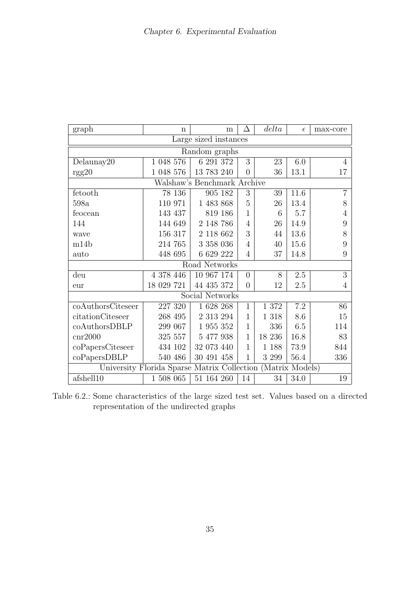| graph                                                         | $\mathbf n$                                                 | m                           | Δ              | delta   | $\epsilon$ | max-core       |  |  |  |
|---------------------------------------------------------------|-------------------------------------------------------------|-----------------------------|----------------|---------|------------|----------------|--|--|--|
| Large sized instances                                         |                                                             |                             |                |         |            |                |  |  |  |
| Random graphs                                                 |                                                             |                             |                |         |            |                |  |  |  |
| Delaunay20                                                    | 1 048 576                                                   | 6 291 372                   | 3              | 23      | 6.0        | 4              |  |  |  |
| $\text{rgg20}$                                                | 1 048 576                                                   | 13 783 240                  | $\overline{0}$ | 36      | 13.1       | 17             |  |  |  |
|                                                               |                                                             | Walshaw's Benchmark Archive |                |         |            |                |  |  |  |
| fetooth                                                       | 78 136                                                      | 905 182                     | 3              | 39      | 11.6       | $\overline{7}$ |  |  |  |
| 598a                                                          | 110 971                                                     | 1 483 868                   | 5              | 26      | 13.4       | 8              |  |  |  |
| feocean                                                       | 143 437                                                     | 819 186                     | 1              | 6       | 5.7        | 4              |  |  |  |
| 144                                                           | 144 649                                                     | 2 148 786                   | $\overline{4}$ | 26      | 14.9       | 9              |  |  |  |
| wave                                                          | 156 317                                                     | 2 118 662                   | 3              | 44      | 13.6       | 8              |  |  |  |
| m14b                                                          | 214 765                                                     | 3 358 036                   | 4              | 40      | 15.6       | 9              |  |  |  |
| auto                                                          | 448 695                                                     | 6 629 222                   | 4              | 37      | 14.8       | 9              |  |  |  |
|                                                               |                                                             | Road Networks               |                |         |            |                |  |  |  |
| deu                                                           | 4 378 446                                                   | 10 967 174                  | $\overline{0}$ | 8       | 2.5        | 3              |  |  |  |
| eur                                                           | 18 029 721                                                  | 44 435 372                  | $\overline{0}$ | 12      | 2.5        | 4              |  |  |  |
|                                                               |                                                             | Social Networks             |                |         |            |                |  |  |  |
| coAuthorsCiteseer                                             | 227 320                                                     | 1 628 268                   | 1              | 1 372   | 7.2        | 86             |  |  |  |
| citationCiteseer                                              | 268 495                                                     | 2 313 294                   | 1              | 1 3 1 8 | 8.6        | 15             |  |  |  |
| coAuthorsDBLP                                                 | 299 067                                                     | 1955352                     | 1              | 336     | 6.5        | 114            |  |  |  |
| cnr2000                                                       | 325 557                                                     | 5 477 938                   | 1              | 18 236  | 16.8       | 83             |  |  |  |
| coPapersCiteseer                                              | 434 102                                                     | 32 073 440                  | 1              | 1 1 8 8 | 73.9       | 844            |  |  |  |
| coPapersDBLP<br>30 491 458<br>56.4<br>540 486<br>1<br>3 2 9 9 |                                                             |                             |                |         |            |                |  |  |  |
|                                                               | University Florida Sparse Matrix Collection (Matrix Models) |                             |                |         |            |                |  |  |  |
| afshell10                                                     | 1 508 065                                                   | 51 164 260                  | 14             | 34      | 34.0       | 19             |  |  |  |

Table 6.2.: Some characteristics of the large sized test set. Values based on a directed representation of the undirected graphs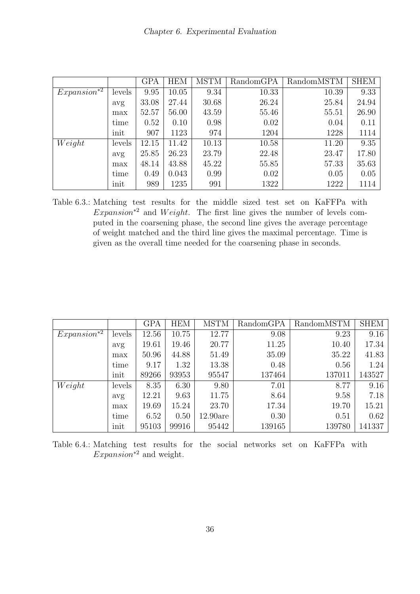|                  |        | GPA   | <b>HEM</b> | <b>MSTM</b> | RandomGPA | RandomMSTM | <b>SHEM</b> |
|------------------|--------|-------|------------|-------------|-----------|------------|-------------|
| $Expansion^{*2}$ | levels | 9.95  | 10.05      | 9.34        | 10.33     | 10.39      | 9.33        |
|                  | avg    | 33.08 | 27.44      | 30.68       | 26.24     | 25.84      | 24.94       |
|                  | max    | 52.57 | 56.00      | 43.59       | 55.46     | 55.51      | 26.90       |
|                  | time   | 0.52  | 0.10       | 0.98        | 0.02      | 0.04       | 0.11        |
|                  | init   | 907   | 1123       | 974         | 1204      | 1228       | 1114        |
| Weight           | levels | 12.15 | 11.42      | 10.13       | 10.58     | 11.20      | 9.35        |
|                  | avg    | 25.85 | 26.23      | 23.79       | 22.48     | 23.47      | 17.80       |
|                  | max    | 48.14 | 43.88      | 45.22       | 55.85     | 57.33      | 35.63       |
|                  | time   | 0.49  | 0.043      | 0.99        | 0.02      | 0.05       | 0.05        |
|                  | init   | 989   | 1235       | 991         | 1322      | 1222       | 1114        |

<span id="page-39-0"></span>Table 6.3.: Matching test results for the middle sized test set on KaFFPa with  $Expansion^*{}^2$  and  $Weight$ . The first line gives the number of levels computed in the coarsening phase, the second line gives the average percentage of weight matched and the third line gives the maximal percentage. Time is given as the overall time needed for the coarsening phase in seconds.

|                  |        | <b>GPA</b> | <b>HEM</b> | <b>MSTM</b> | RandomGPA | RandomMSTM | SHEM   |
|------------------|--------|------------|------------|-------------|-----------|------------|--------|
| $Expansion^{*2}$ | levels | 12.56      | 10.75      | 12.77       | 9.08      | 9.23       | 9.16   |
|                  | avg    | 19.61      | 19.46      | 20.77       | 11.25     | 10.40      | 17.34  |
|                  | max    | 50.96      | 44.88      | 51.49       | 35.09     | 35.22      | 41.83  |
|                  | time   | 9.17       | 1.32       | 13.38       | 0.48      | 0.56       | 1.24   |
|                  | init   | 89266      | 93953      | 95547       | 137464    | 137011     | 143527 |
| Weight           | levels | 8.35       | 6.30       | 9.80        | 7.01      | 8.77       | 9.16   |
|                  | avg    | 12.21      | 9.63       | 11.75       | 8.64      | 9.58       | 7.18   |
|                  | max    | 19.69      | 15.24      | 23.70       | 17.34     | 19.70      | 15.21  |
|                  | time   | 6.52       | 0.50       | $12.90$ are | 0.30      | 0.51       | 0.62   |
|                  | init   | 95103      | 99916      | 95442       | 139165    | 139780     | 141337 |

<span id="page-39-1"></span>Table 6.4.: Matching test results for the social networks set on KaFFPa with  $Expansion^*{}^2$  and weight.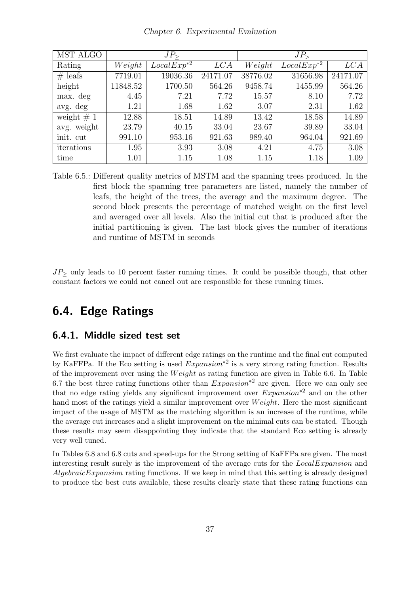| MST ALGO      |          | JP                  |          | $JP_{\geq}$ |                 |          |  |
|---------------|----------|---------------------|----------|-------------|-----------------|----------|--|
| Rating        | Weight   | $LocalExp^{\ast 2}$ | LCA      | Weight      | $LocalExp^{*2}$ | LCA      |  |
| $#$ leafs     | 7719.01  | 19036.36            | 24171.07 | 38776.02    | 31656.98        | 24171.07 |  |
| height        | 11848.52 | 1700.50             | 564.26   | 9458.74     | 1455.99         | 564.26   |  |
| max. deg      | 4.45     | 7.21                | 7.72     | 15.57       | 8.10            | 7.72     |  |
| avg. deg      | 1.21     | 1.68                | 1.62     | 3.07        | 2.31            | 1.62     |  |
| weight $\# 1$ | 12.88    | 18.51               | 14.89    | 13.42       | 18.58           | 14.89    |  |
| avg. weight   | 23.79    | 40.15               | 33.04    | 23.67       | 39.89           | 33.04    |  |
| init. cut     | 991.10   | 953.16              | 921.63   | 989.40      | 964.04          | 921.69   |  |
| iterations    | 1.95     | 3.93                | 3.08     | 4.21        | 4.75            | 3.08     |  |
| time          | 1.01     | 1.15                | 1.08     | 1.15        | 1.18            | 1.09     |  |

Chapter 6. Experimental Evaluation

<span id="page-40-2"></span>Table 6.5.: Different quality metrics of MSTM and the spanning trees produced. In the first block the spanning tree parameters are listed, namely the number of leafs, the height of the trees, the average and the maximum degree. The second block presents the percentage of matched weight on the first level and averaged over all levels. Also the initial cut that is produced after the initial partitioning is given. The last block gives the number of iterations and runtime of MSTM in seconds

JP<sub>></sub> only leads to 10 percent faster running times. It could be possible though, that other constant factors we could not cancel out are responsible for these running times.

### <span id="page-40-0"></span>6.4. Edge Ratings

#### <span id="page-40-1"></span>6.4.1. Middle sized test set

We first evaluate the impact of different edge ratings on the runtime and the final cut computed by KaFFPa. If the Eco setting is used  $Expansion^{*2}$  is a very strong rating function. Results of the improvement over using the  $Weight$  as rating function are given in Table [6.6.](#page-41-0) In Table [6.7](#page-41-1) the best three rating functions other than  $Expansion^{*2}$  are given. Here we can only see that no edge rating yields any significant improvement over  $Expansion^{*2}$  and on the other hand most of the ratings yield a similar improvement over  $Weight$ . Here the most significant impact of the usage of MSTM as the matching algorithm is an increase of the runtime, while the average cut increases and a slight improvement on the minimal cuts can be stated. Though these results may seem disappointing they indicate that the standard Eco setting is already very well tuned.

In Tables [6.8](#page-42-1) and [6.8](#page-42-1) cuts and speed-ups for the Strong setting of KaFFPa are given. The most interesting result surely is the improvement of the average cuts for the *LocalExpansion* and AlgebraicExpansion rating functions. If we keep in mind that this setting is already designed to produce the best cuts available, these results clearly state that these rating functions can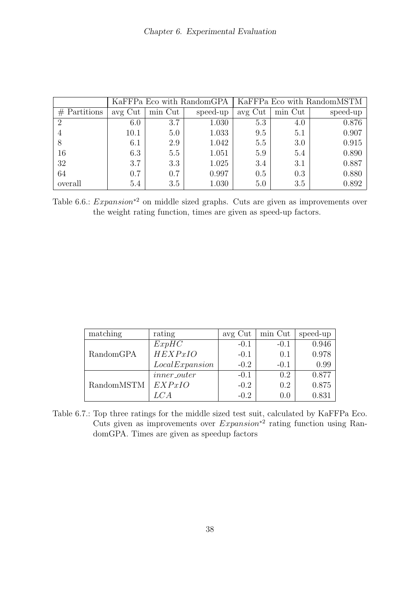|                 |         |         |          | KaFFPa Eco with RandomGPA   KaFFPa Eco with RandomMSTM |         |          |
|-----------------|---------|---------|----------|--------------------------------------------------------|---------|----------|
| Partitions<br># | avg Cut | min Cut | speed-up | avg Cut                                                | min Cut | speed-up |
| $\overline{2}$  | 6.0     | 3.7     | 1.030    | 5.3                                                    | 4.0     | 0.876    |
| $\overline{4}$  | 10.1    | 5.0     | 1.033    | 9.5                                                    | 5.1     | 0.907    |
|                 | 6.1     | 2.9     | 1.042    | 5.5                                                    | 3.0     | 0.915    |
| 16              | 6.3     | 5.5     | 1.051    | 5.9                                                    | 5.4     | 0.890    |
| 32              | 3.7     | 3.3     | 1.025    | 3.4                                                    | 3.1     | 0.887    |
| 64              | 0.7     | 0.7     | 0.997    | 0.5                                                    | 0.3     | 0.880    |
| overall         | 5.4     | 3.5     | 1.030    | 5.0                                                    | 3.5     | 0.892    |

<span id="page-41-0"></span>Table 6.6.: *Expansion*<sup>\*2</sup> on middle sized graphs. Cuts are given as improvements over the weight rating function, times are given as speed-up factors.

| matching   | rating             | avg Cut | min Cut | speed-up |
|------------|--------------------|---------|---------|----------|
|            | $\overline{ExpHC}$ | $-0.1$  | $-0.1$  | 0.946    |
| RandomGPA  | HEXPxIO            | $-0.1$  | 0.1     | 0.978    |
|            | Local Expansion    | $-0.2$  | $-0.1$  | 0.99     |
|            | $inner\_outer$     | $-0.1$  | 0.2     | 0.877    |
| RandomMSTM | EXPxIO             | $-0.2$  | 0.2     | 0.875    |
|            | LC A               | $-0.2$  |         | 0.831    |

<span id="page-41-1"></span>Table 6.7.: Top three ratings for the middle sized test suit, calculated by KaFFPa Eco. Cuts given as improvements over  $Expansion^{*2}$  rating function using RandomGPA. Times are given as speedup factors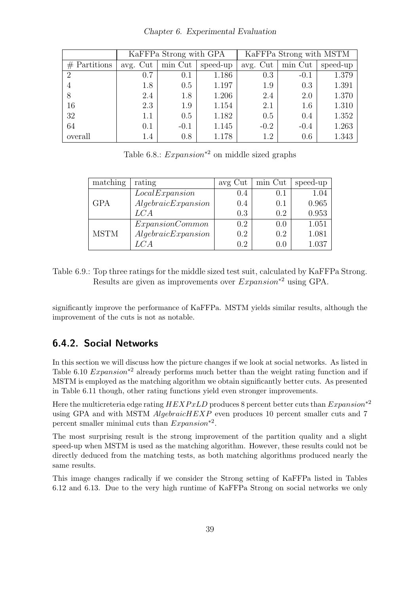#### Chapter 6. Experimental Evaluation

|                |          | KaFFPa Strong with GPA |          |          | KaFFPa Strong with MSTM |          |  |  |
|----------------|----------|------------------------|----------|----------|-------------------------|----------|--|--|
| $#$ Partitions | avg. Cut | min Cut                | speed-up | avg. Cut | min Cut                 | speed-up |  |  |
| $\mathcal{D}$  | 0.7      | 0.1                    | 1.186    | 0.3      | $-0.1$                  | 1.379    |  |  |
| $\overline{4}$ | 1.8      | 0.5                    | 1.197    | 1.9      | 0.3                     | 1.391    |  |  |
| 8              | 2.4      | 1.8                    | 1.206    | 2.4      | 2.0                     | 1.370    |  |  |
| 16             | 2.3      | 1.9                    | 1.154    | 2.1      | 1.6                     | 1.310    |  |  |
| 32             | 1.1      | 0.5                    | 1.182    | 0.5      | 0.4                     | 1.352    |  |  |
| 64             | 0.1      | $-0.1$                 | 1.145    | $-0.2$   | $-0.4$                  | 1.263    |  |  |
| overall        | 1.4      | 0.8                    | 1.178    | 1.2      | 0.6                     | 1.343    |  |  |

<span id="page-42-1"></span>Table 6.8.: Expansion<sup>∗</sup><sup>2</sup> on middle sized graphs

| matching    | rating              | avg Cut | min Cut | speed-up |
|-------------|---------------------|---------|---------|----------|
| <b>GPA</b>  | Local Expansion     | 0.4     | 0.1     | 1.04     |
|             | Algebraic Expansion | $0.4\,$ | 0.1     | 0.965    |
|             | LC A                | 0.3     | 0.2     | 0.953    |
|             | ExpansionCommon     | 0.2     | 0.0     | 1.051    |
| <b>MSTM</b> | Algebraic Expansion | 0.2     | 0.2     | 1.081    |
|             | LC A                | 0.2     | (1.0)   | 1.037    |

Table 6.9.: Top three ratings for the middle sized test suit, calculated by KaFFPa Strong. Results are given as improvements over Expansion<sup>∗</sup><sup>2</sup> using GPA.

significantly improve the performance of KaFFPa. MSTM yields similar results, although the improvement of the cuts is not as notable.

#### <span id="page-42-0"></span>6.4.2. Social Networks

In this section we will discuss how the picture changes if we look at social networks. As listed in Table [6.10](#page-43-0)  $Expanion*^2$  already performs much better than the weight rating function and if MSTM is employed as the matching algorithm we obtain significantly better cuts. As presented in Table [6.11](#page-43-1) though, other rating functions yield even stronger improvements.

Here the multicreteria edge rating  $HEXP xLD$  produces 8 percent better cuts than  $Expansion^{*2}$ using GPA and with MSTM *AlgebraicHEXP* even produces 10 percent smaller cuts and 7 percent smaller minimal cuts than  $Expansion^{*2}$ .

The most surprising result is the strong improvement of the partition quality and a slight speed-up when MSTM is used as the matching algorithm. However, these results could not be directly deduced from the matching tests, as both matching algorithms produced nearly the same results.

This image changes radically if we consider the Strong setting of KaFFPa listed in Tables [6.12](#page-44-1) and [6.13.](#page-44-2) Due to the very high runtime of KaFFPa Strong on social networks we only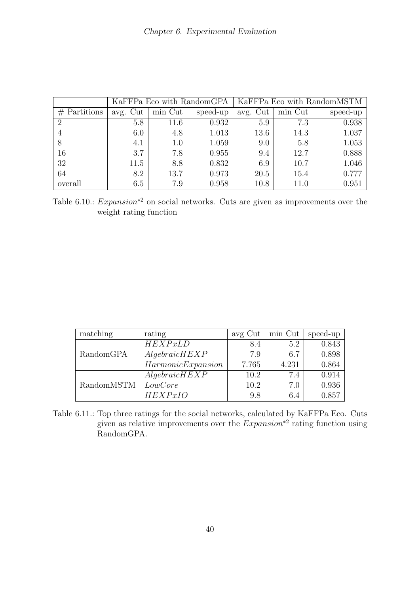|                 |          |         |          | KaFFPa Eco with RandomGPA   KaFFPa Eco with RandomMSTM |         |          |
|-----------------|----------|---------|----------|--------------------------------------------------------|---------|----------|
| Partitions<br># | avg. Cut | min Cut | speed-up | avg. Cut                                               | min Cut | speed-up |
| $\overline{2}$  | 5.8      | 11.6    | 0.932    | 5.9                                                    | 7.3     | 0.938    |
| $\overline{4}$  | 6.0      | 4.8     | 1.013    | 13.6                                                   | 14.3    | 1.037    |
|                 | 4.1      | 1.0     | 1.059    | 9.0                                                    | 5.8     | 1.053    |
| 16              | 3.7      | 7.8     | 0.955    | 9.4                                                    | 12.7    | 0.888    |
| 32              | 11.5     | 8.8     | 0.832    | 6.9                                                    | 10.7    | 1.046    |
| 64              | 8.2      | 13.7    | 0.973    | 20.5                                                   | 15.4    | 0.777    |
| overall         | 6.5      | 7.9     | 0.958    | 10.8                                                   | 11.0    | 0.951    |

<span id="page-43-0"></span>Table 6.10.: *Expansion*<sup>∗2</sup> on social networks. Cuts are given as improvements over the weight rating function

| matching   | rating             | $\alpha$ avg Cut | min Cut | speed-up |
|------------|--------------------|------------------|---------|----------|
|            | HEXPxLD            | 8.4              | 5.2     | 0.843    |
| RandomGPA  | Algebraic HEXP     | 7.9              | 6.7     | 0.898    |
|            | Harmonic Expansion | 7.765            | 4.231   | 0.864    |
| RandomMSTM | Algebraic HEXP     | 10.2             | 7.4     | 0.914    |
|            | LowCore            | 10.2             | 7.0     | 0.936    |
|            | HEXPxIO            | 9.8              | 6.4     | 0.857    |

<span id="page-43-1"></span>Table 6.11.: Top three ratings for the social networks, calculated by KaFFPa Eco. Cuts given as relative improvements over the  $Expansion^{*2}$  rating function using RandomGPA.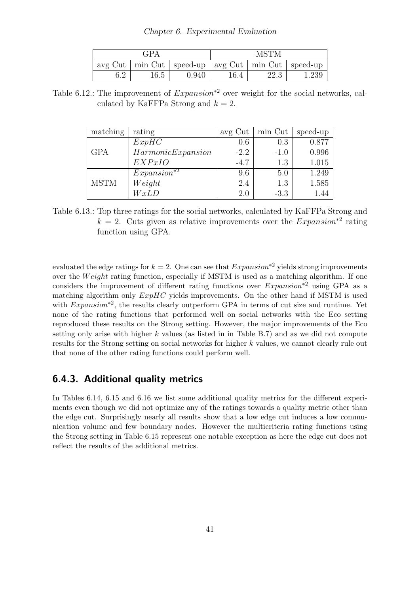#### Chapter 6. Experimental Evaluation

<span id="page-44-1"></span>

| GPA |          |                                                                      | <b>MSTM</b> |      |       |  |
|-----|----------|----------------------------------------------------------------------|-------------|------|-------|--|
|     |          | $\alpha$ avg Cut   min Cut   speed-up   avg Cut   min Cut   speed-up |             |      |       |  |
|     | $16.5\,$ | 0.940                                                                |             | 22.3 | 1.239 |  |

Table 6.12.: The improvement of *Expansion*<sup>∗2</sup> over weight for the social networks, calculated by KaFFPa Strong and  $k = 2$ .

| matching    | rating             | avg Cut | min Cut | speed-up |
|-------------|--------------------|---------|---------|----------|
|             | ExpHC              | 0.6     | 0.3     | 0.877    |
| <b>GPA</b>  | Harmonic Expansion | $-2.2$  | $-1.0$  | 0.996    |
|             | EXPxIO             | $-4.7$  | 1.3     | 1.015    |
|             | $Expanion^{*2}$    | 9.6     | 5.0     | 1.249    |
| <b>MSTM</b> | Weight             | 2.4     | 1.3     | 1.585    |
|             | WxLD               | 2.0     | $-3.3$  |          |

<span id="page-44-2"></span>Table 6.13.: Top three ratings for the social networks, calculated by KaFFPa Strong and  $k = 2$ . Cuts given as relative improvements over the *Expansion*<sup>\*2</sup> rating function using GPA.

evaluated the edge ratings for  $k = 2$ . One can see that  $Expansion^{*2}$  yields strong improvements over the *Weight* rating function, especially if MSTM is used as a matching algorithm. If one considers the improvement of different rating functions over  $Expansion^*{}^2$  using GPA as a matching algorithm only  $ExpHC$  yields improvements. On the other hand if MSTM is used with  $Expansion^{*2}$ , the results clearly outperform GPA in terms of cut size and runtime. Yet none of the rating functions that performed well on social networks with the Eco setting reproduced these results on the Strong setting. However, the major improvements of the Eco setting only arise with higher  $k$  values (as listed in in Table [B.7\)](#page-55-0) and as we did not compute results for the Strong setting on social networks for higher k values, we cannot clearly rule out that none of the other rating functions could perform well.

#### <span id="page-44-0"></span>6.4.3. Additional quality metrics

In Tables [6.14,](#page-45-0) [6.15](#page-45-1) and [6.16](#page-45-2) we list some additional quality metrics for the different experiments even though we did not optimize any of the ratings towards a quality metric other than the edge cut. Surprisingly nearly all results show that a low edge cut induces a low communication volume and few boundary nodes. However the multicriteria rating functions using the Strong setting in Table [6.15](#page-45-1) represent one notable exception as here the edge cut does not reflect the results of the additional metrics.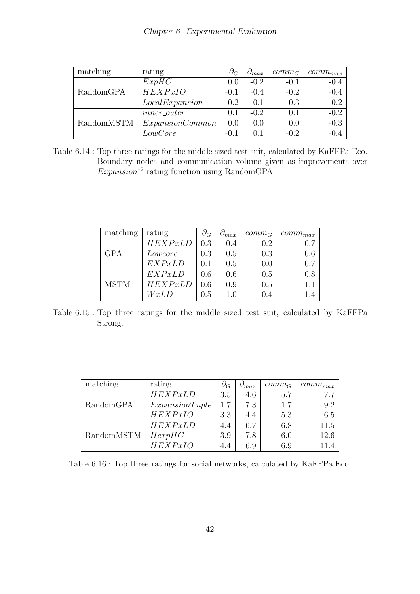| matching   | rating          | $\partial_G$ | $O_{max}$ | $comm_G$ | $comm_{max}$ |
|------------|-----------------|--------------|-----------|----------|--------------|
|            | ExpHC           | 0.0          | $-0.2$    | $-0.1$   | $-0.4$       |
| RandomGPA  | HEXPxIO         | $-0.1$       | $-0.4$    | $-0.2$   | $-0.4$       |
|            | Local Expansion | $-0.2$       | $-0.1$    | $-0.3$   | $-0.2$       |
| RandomMSTM | $inner\_outer$  | 0.1          | $-0.2$    | 0.1      | $-0.2$       |
|            | ExpansionCommon | 0.0          | 0.0       | 0.0      | $-0.3$       |
|            | LowCore         | $-0.1$       | 0.1       | $-0.2$   |              |

<span id="page-45-0"></span>Table 6.14.: Top three ratings for the middle sized test suit, calculated by KaFFPa Eco. Boundary nodes and communication volume given as improvements over Expansion<sup>∗</sup><sup>2</sup> rating function using RandomGPA

| matching    | rating  | $\partial_G$ | $\partial_{max}$ | $comm_G$ | $comm_{max}$   |
|-------------|---------|--------------|------------------|----------|----------------|
|             | HEXPxLD | 0.3          | 0.4              | 0.2      | 0.7            |
| <b>GPA</b>  | Lowcore | 0.3          | 0.5              | 0.3      | 0.6            |
|             | EXPxLD  | 0.1          | 0.5              | 0.0      | 0.7            |
|             | EXP xLD | 0.6          | 0.6              | 0.5      | 0.8            |
| <b>MSTM</b> | HEXPxLD | 0.6          | 0.9              | 0.5      | 1 <sub>1</sub> |
|             | WxLD    | 0.5          | $1.0\,$          | (1.4)    |                |

<span id="page-45-1"></span>Table 6.15.: Top three ratings for the middle sized test suit, calculated by KaFFPa Strong.

| matching   | rating        | $\partial_G$ | $\partial_{max}$ | $comm_G$ | $comm_{max}$  |
|------------|---------------|--------------|------------------|----------|---------------|
|            | HEXPxLD       | 3.5          | 4.6              | 5.7      | 7.7           |
| RandomGPA  | ExpanionTuple | $1.7\,$      | 7.3              | 1.7      | $9.2^{\circ}$ |
|            | HEXPxIO       | 3.3          | 4.4              | 5.3      | 6.5           |
| RandomMSTM | HEXPxLD       | 4.4          | 6.7              | 6.8      | 11.5          |
|            | HexpHC        | 3.9          | 7.8              | 6.0      | 12.6          |
|            | HEXPxIO       | 4.4          | 6.9              | 6.9      |               |

<span id="page-45-2"></span>Table 6.16.: Top three ratings for social networks, calculated by KaFFPa Eco.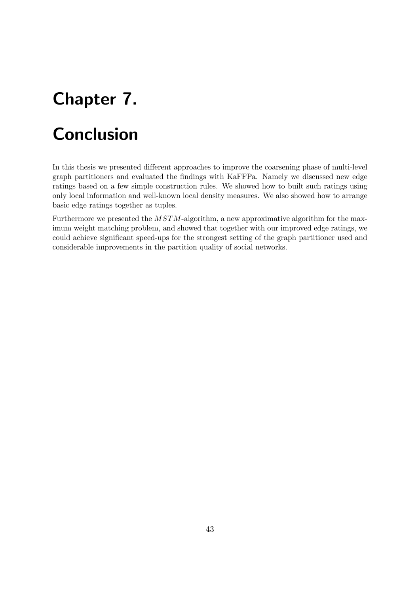# <span id="page-46-0"></span>Chapter 7.

## Conclusion

In this thesis we presented different approaches to improve the coarsening phase of multi-level graph partitioners and evaluated the findings with KaFFPa. Namely we discussed new edge ratings based on a few simple construction rules. We showed how to built such ratings using only local information and well-known local density measures. We also showed how to arrange basic edge ratings together as tuples.

Furthermore we presented the MSTM-algorithm, a new approximative algorithm for the maximum weight matching problem, and showed that together with our improved edge ratings, we could achieve significant speed-ups for the strongest setting of the graph partitioner used and considerable improvements in the partition quality of social networks.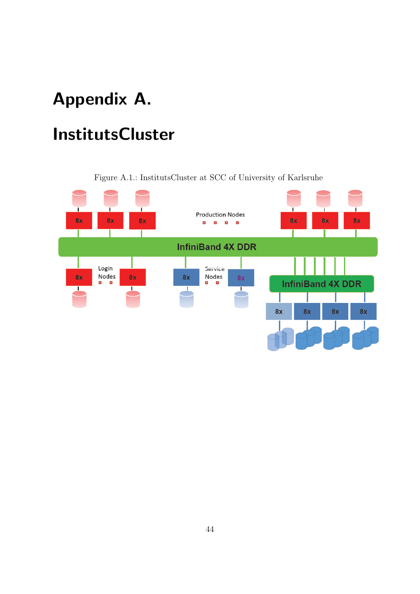# <span id="page-47-0"></span>Appendix A.

# InstitutsCluster



<span id="page-47-1"></span>Figure A.1.: InstitutsCluster at SCC of University of Karlsruhe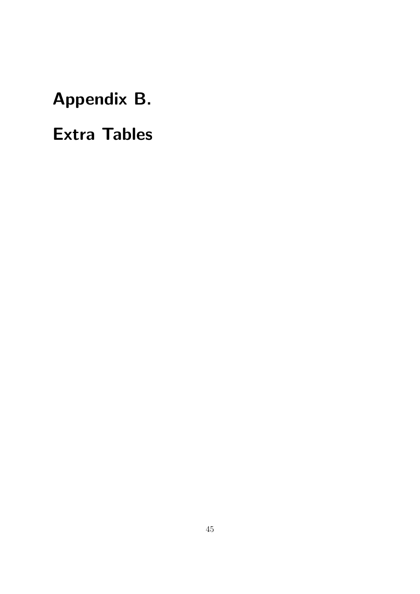<span id="page-48-0"></span>Appendix B.

# Extra Tables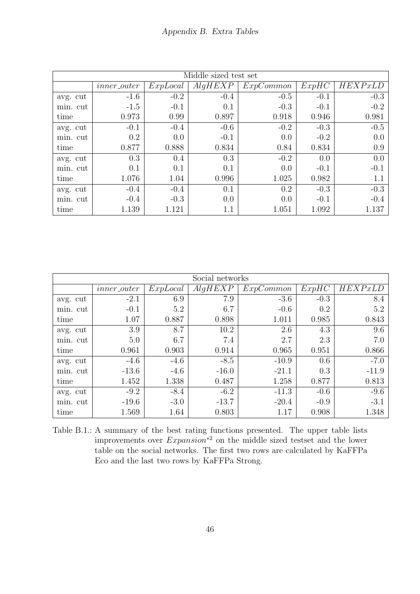| Middle sized test set |                    |          |            |           |        |         |  |  |  |
|-----------------------|--------------------|----------|------------|-----------|--------|---------|--|--|--|
|                       | <i>inner_outer</i> | ExpLocal | A lq H EXP | ExpCommon | ExpHC  | HEXPxLD |  |  |  |
| avg. cut              | $-1.6$             | $-0.2$   | $-0.4$     | $-0.5$    | $-0.1$ | $-0.3$  |  |  |  |
| min. cut              | $-1.5$             | $-0.1$   | 0.1        | $-0.3$    | $-0.1$ | $-0.2$  |  |  |  |
| time                  | 0.973              | 0.99     | 0.897      | 0.918     | 0.946  | 0.981   |  |  |  |
| avg. cut              | $-0.1$             | $-0.4$   | $-0.6$     | $-0.2$    | $-0.3$ | $-0.5$  |  |  |  |
| min. cut              | 0.2                | 0.0      | $-0.1$     | 0.0       | $-0.2$ | 0.0     |  |  |  |
| time                  | 0.877              | 0.888    | 0.834      | 0.84      | 0.834  | 0.9     |  |  |  |
| avg. cut              | 0.3                | 0.4      | 0.3        | $-0.2$    | 0.0    | 0.0     |  |  |  |
| min. cut              | 0.1                | 0.1      | 0.1        | 0.0       | $-0.1$ | $-0.1$  |  |  |  |
| time                  | 1.076              | 1.04     | 0.996      | 1.025     | 0.982  | 1.1     |  |  |  |
| avg. cut              | $-0.4$             | $-0.4$   | 0.1        | 0.2       | $-0.3$ | $-0.3$  |  |  |  |
| min. cut              | $-0.4$             | $-0.3$   | 0.0        | 0.0       | $-0.1$ | $-0.4$  |  |  |  |
| time                  | 1.139              | 1.121    | 1.1        | 1.051     | 1.092  | 1.137   |  |  |  |

| Social networks |                    |          |               |           |        |         |  |  |  |  |
|-----------------|--------------------|----------|---------------|-----------|--------|---------|--|--|--|--|
|                 | <i>inner_outer</i> | ExpLocal | $A$ lq $HEXP$ | ExpCommon | ExpHC  | HEXPxLD |  |  |  |  |
| avg. cut        | $-2.1$             | 6.9      | 7.9           | $-3.6$    | $-0.3$ | 8.4     |  |  |  |  |
| min. cut        | $-0.1$             | 5.2      | 6.7           | $-0.6$    | 0.2    | 5.2     |  |  |  |  |
| time            | 1.07               | 0.887    | 0.898         | 1.011     | 0.985  | 0.843   |  |  |  |  |
| avg. cut        | 3.9                | 8.7      | 10.2          | 2.6       | 4.3    | 9.6     |  |  |  |  |
| min. cut        | 5.0                | 6.7      | 7.4           | 2.7       | 2.3    | 7.0     |  |  |  |  |
| time            | 0.961              | 0.903    | 0.914         | 0.965     | 0.951  | 0.866   |  |  |  |  |
| avg. cut        | $-4.6$             | $-4.6$   | $-8.5$        | $-10.9$   | 0.6    | $-7.0$  |  |  |  |  |
| min. cut        | $-13.6$            | $-4.6$   | $-16.0$       | $-21.1$   | 0.3    | $-11.9$ |  |  |  |  |
| time            | 1.452              | 1.338    | 0.487         | 1.258     | 0.877  | 0.813   |  |  |  |  |
| avg. cut        | $-9.2$             | $-8.4$   | $-6.2$        | $-11.3$   | $-0.6$ | $-9.6$  |  |  |  |  |
| min. cut        | $-19.6$            | $-3.0$   | $-13.7$       | $-20.4$   | $-0.9$ | $-3.1$  |  |  |  |  |
| time            | 1.569              | 1.64     | 0.803         | 1.17      | 0.908  | 1.348   |  |  |  |  |

Table B.1.: A summary of the best rating functions presented. The upper table lists improvements over Expansion<sup>∗</sup><sup>2</sup> on the middle sized testset and the lower table on the social networks. The first two rows are calculated by KaFFPa Eco and the last two rows by KaFFPa Strong.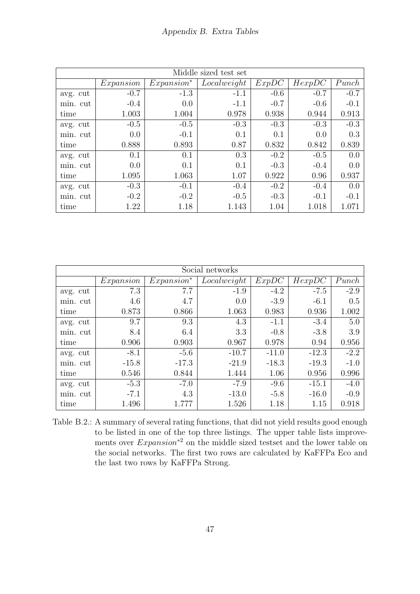| Middle sized test set |           |             |             |        |        |        |  |  |  |  |
|-----------------------|-----------|-------------|-------------|--------|--------|--------|--|--|--|--|
|                       | Expansion | $Expanion*$ | Localweight | ExpDC  | HexpDC | Punch  |  |  |  |  |
| avg. cut              | $-0.7$    | $-1.3$      | $-1.1$      | $-0.6$ | $-0.7$ | $-0.7$ |  |  |  |  |
| min. cut              | $-0.4$    | 0.0         | $-1.1$      | $-0.7$ | $-0.6$ | $-0.1$ |  |  |  |  |
| time                  | 1.003     | 1.004       | 0.978       | 0.938  | 0.944  | 0.913  |  |  |  |  |
| avg. cut              | $-0.5$    | $-0.5$      | $-0.3$      | $-0.3$ | $-0.3$ | $-0.3$ |  |  |  |  |
| min. cut              | 0.0       | $-0.1$      | 0.1         | 0.1    | 0.0    | 0.3    |  |  |  |  |
| time                  | 0.888     | 0.893       | 0.87        | 0.832  | 0.842  | 0.839  |  |  |  |  |
| avg. cut              | 0.1       | 0.1         | 0.3         | $-0.2$ | $-0.5$ | 0.0    |  |  |  |  |
| min. cut              | 0.0       | 0.1         | 0.1         | $-0.3$ | $-0.4$ | 0.0    |  |  |  |  |
| time                  | 1.095     | 1.063       | 1.07        | 0.922  | 0.96   | 0.937  |  |  |  |  |
| avg. cut              | $-0.3$    | $-0.1$      | $-0.4$      | $-0.2$ | $-0.4$ | 0.0    |  |  |  |  |
| min. cut              | $-0.2$    | $-0.2$      | $-0.5$      | $-0.3$ | $-0.1$ | $-0.1$ |  |  |  |  |
| time                  | 1.22      | 1.18        | 1.143       | 1.04   | 1.018  | 1.071  |  |  |  |  |

| Social networks |           |             |             |         |         |        |  |  |  |  |  |
|-----------------|-----------|-------------|-------------|---------|---------|--------|--|--|--|--|--|
|                 |           |             |             |         |         |        |  |  |  |  |  |
|                 | Expansion | $Expanion*$ | Localweight | ExpDC   | HexpDC  | Punch  |  |  |  |  |  |
| avg. cut        | 7.3       | 7.7         | $-1.9$      | $-4.2$  | $-7.5$  | $-2.9$ |  |  |  |  |  |
| min. cut        | 4.6       | 4.7         | 0.0         | $-3.9$  | $-6.1$  | 0.5    |  |  |  |  |  |
| time            | 0.873     | 0.866       | 1.063       | 0.983   | 0.936   | 1.002  |  |  |  |  |  |
| avg. cut        | 9.7       | 9.3         | 4.3         | $-1.1$  | $-3.4$  | 5.0    |  |  |  |  |  |
| min. cut        | 8.4       | 6.4         | 3.3         | $-0.8$  | $-3.8$  | 3.9    |  |  |  |  |  |
| time            | 0.906     | 0.903       | 0.967       | 0.978   | 0.94    | 0.956  |  |  |  |  |  |
| avg. cut        | $-8.1$    | $-5.6$      | $-10.7$     | $-11.0$ | $-12.3$ | $-2.2$ |  |  |  |  |  |
| min. cut        | $-15.8$   | $-17.3$     | $-21.9$     | $-18.3$ | $-19.3$ | $-1.0$ |  |  |  |  |  |
| time            | 0.546     | 0.844       | 1.444       | 1.06    | 0.956   | 0.996  |  |  |  |  |  |
| avg. cut        | $-5.3$    | $-7.0$      | $-7.9$      | $-9.6$  | $-15.1$ | $-4.0$ |  |  |  |  |  |
| min. cut        | $-7.1$    | 4.3         | $-13.0$     | $-5.8$  | $-16.0$ | $-0.9$ |  |  |  |  |  |
| time            | 1.496     | 1.777       | 1.526       | 1.18    | 1.15    | 0.918  |  |  |  |  |  |

Table B.2.: A summary of several rating functions, that did not yield results good enough to be listed in one of the top three listings. The upper table lists improvements over Expansion<sup>∗</sup><sup>2</sup> on the middle sized testset and the lower table on the social networks. The first two rows are calculated by KaFFPa Eco and the last two rows by KaFFPa Strong.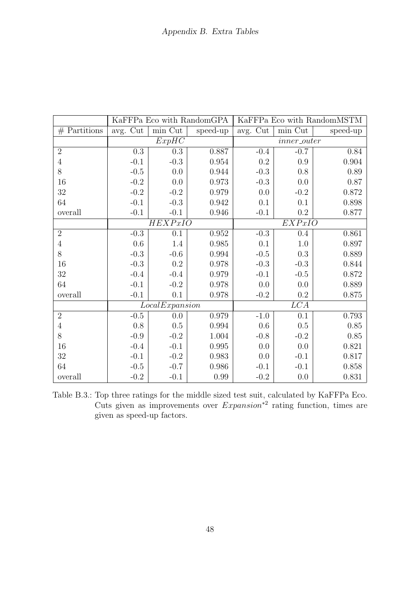|                | KaFFPa Eco with RandomGPA<br>KaFFPa Eco with RandomMSTM |                             |       |                  |                |          |  |  |
|----------------|---------------------------------------------------------|-----------------------------|-------|------------------|----------------|----------|--|--|
| $#$ Partitions | Cut<br>min Cut<br>speed-up<br>avg.<br>avg.              |                             |       | Cut              | min Cut        | speed-up |  |  |
|                |                                                         | ExpHC                       |       |                  | $inner\_outer$ |          |  |  |
| $\overline{2}$ | 0.3                                                     | 0.3                         | 0.887 | $-0.4$           | $-0.7$         | 0.84     |  |  |
| $\overline{4}$ | $-0.1$                                                  | $-0.3$                      | 0.954 | $0.2\,$          | 0.9            | 0.904    |  |  |
| 8              | $-0.5$                                                  | 0.0                         | 0.944 | $-0.3$           | 0.8            | 0.89     |  |  |
| 16             | $-0.2$                                                  | 0.0                         | 0.973 | $-0.3$           | 0.0            | $0.87\,$ |  |  |
| 32             | $-0.2$                                                  | $-0.2$                      | 0.979 | 0.0              | $-0.2$         | 0.872    |  |  |
| 64             | $-0.1$                                                  | $-0.3$                      | 0.942 | 0.1              | 0.1            | 0.898    |  |  |
| overall        | $-0.1$                                                  | $-0.1$                      | 0.946 | $-0.1$           | 0.2            | 0.877    |  |  |
|                | <b>HEXPxIO</b>                                          |                             |       | EXPxIO           |                |          |  |  |
| $\overline{2}$ | $-0.3$                                                  | 0.1                         | 0.952 | $-0.3$           | 0.4            | 0.861    |  |  |
| $\overline{4}$ | 0.6                                                     | $1.4\,$                     | 0.985 | 0.1              | $1.0\,$        | 0.897    |  |  |
| 8              | $-0.3$                                                  | $-0.6$                      | 0.994 | $-0.5$           | 0.3            | 0.889    |  |  |
| $16\,$         | $-0.3$                                                  | 0.2                         | 0.978 | $-0.3$           | $-0.3$         | 0.844    |  |  |
| $32\,$         | $-0.4$                                                  | $-0.4$                      | 0.979 | $-0.1$           | $-0.5$         | 0.872    |  |  |
| 64             | $-0.1$                                                  | $-0.2$                      | 0.978 | 0.0              | 0.0            | 0.889    |  |  |
| overall        | $-0.1$                                                  | 0.1                         | 0.978 | $-0.2$           | 0.2            | 0.875    |  |  |
|                |                                                         | $\overline{LocalExpansion}$ |       | $\overline{LCA}$ |                |          |  |  |
| $\sqrt{2}$     | $-0.5$                                                  | 0.0                         | 0.979 | $-1.0$           | 0.1            | 0.793    |  |  |
| $\,4\,$        | 0.8                                                     | 0.5                         | 0.994 | 0.6              | 0.5            | 0.85     |  |  |
| 8              | $-0.9$                                                  | $-0.2$                      | 1.004 | $-0.8$           | $-0.2$         | $0.85\,$ |  |  |
| 16             | $-0.4$                                                  | $-0.1$                      | 0.995 | 0.0              | 0.0            | 0.821    |  |  |
| $32\,$         | $-0.1$                                                  | $-0.2$                      | 0.983 | 0.0              | $-0.1$         | 0.817    |  |  |
| 64             | $-0.5$                                                  | $-0.7$                      | 0.986 | $-0.1$           | $-0.1$         | 0.858    |  |  |
| overall        | $-0.2$                                                  | $-0.1$                      | 0.99  | $-0.2$           | 0.0            | 0.831    |  |  |

Table B.3.: Top three ratings for the middle sized test suit, calculated by KaFFPa Eco. Cuts given as improvements over  $Expansion^{*2}$  rating function, times are given as speed-up factors.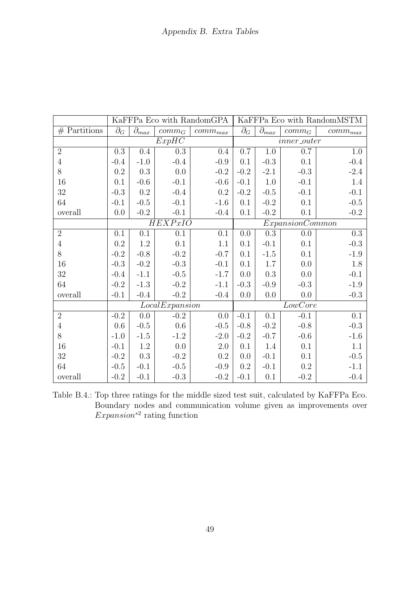|                | KaFFPa Eco with RandomGPA |                         |                    |              | KaFFPa Eco with RandomMSTM |                  |          |              |  |
|----------------|---------------------------|-------------------------|--------------------|--------------|----------------------------|------------------|----------|--------------|--|
| $#$ Partitions | $\partial_G$              | $\partial_{\text{max}}$ | $comm_G$           | $comm_{max}$ | $\partial_G$               | $\partial_{max}$ | $comm_G$ | $comm_{max}$ |  |
|                |                           |                         | $Exp\overline{HC}$ |              |                            | $inner\_outer$   |          |              |  |
| $\overline{2}$ | $0.3\,$                   | 0.4                     | 0.3                | 0.4          | 0.7                        | 1.0              | 0.7      | 1.0          |  |
| $\overline{4}$ | $-0.4$                    | $-1.0$                  | $-0.4$             | $-0.9$       | 0.1                        | $-0.3$           | 0.1      | $-0.4$       |  |
| 8              | 0.2                       | 0.3                     | 0.0                | $-0.2$       | $-0.2$                     | $-2.1$           | $-0.3$   | $-2.4$       |  |
| 16             | 0.1                       | $-0.6$                  | $-0.1$             | $-0.6$       | $-0.1$                     | 1.0              | $-0.1$   | 1.4          |  |
| 32             | $-0.3$                    | $0.2\,$                 | $-0.4$             | 0.2          | $-0.2$                     | $-0.5$           | $-0.1$   | $-0.1$       |  |
| 64             | $-0.1$                    | $-0.5$                  | $-0.1$             | $-1.6$       | 0.1                        | $-0.2$           | 0.1      | $-0.5$       |  |
| overall        | 0.0                       | $-0.2$                  | $-0.1$             | $-0.4$       | 0.1                        | $-0.2$           | 0.1      | $-0.2$       |  |
|                | HEXPxIO                   |                         |                    |              | ExpansionCommon            |                  |          |              |  |
| $\overline{2}$ | 0.1                       | 0.1                     | 0.1                | 0.1          | 0.0                        | $0.3\,$          | 0.0      | $0.3\,$      |  |
| $\overline{4}$ | 0.2                       | $1.2\,$                 | 0.1                | 1.1          | 0.1                        | $-0.1$           | 0.1      | $-0.3$       |  |
| 8              | $-0.2$                    | $-0.8$                  | $-0.2$             | $-0.7$       | 0.1                        | $-1.5$           | 0.1      | $-1.9$       |  |
| 16             | $-0.3$                    | $-0.2$                  | $-0.3$             | $-0.1$       | 0.1                        | 1.7              | 0.0      | 1.8          |  |
| $32\,$         | $-0.4$                    | $-1.1$                  | $-0.5$             | $-1.7$       | 0.0                        | 0.3              | 0.0      | $-0.1$       |  |
| 64             | $-0.2$                    | $-1.3$                  | $-0.2$             | $-1.1$       | $-0.3$                     | $-0.9$           | $-0.3$   | $-1.9$       |  |
| overall        | $-0.1$                    | $-0.4$                  | $-0.2$             | $-0.4$       | 0.0                        | 0.0              | 0.0      | $-0.3$       |  |
|                |                           |                         | Local Expansion    |              | $\overline{LowCore}$       |                  |          |              |  |
| $\overline{2}$ | $-0.2$                    | 0.0                     | $-0.2$             | 0.0          | $-0.1$                     | 0.1              | $-0.1$   | 0.1          |  |
| $\overline{4}$ | $0.6\,$                   | $-0.5$                  | 0.6                | $-0.5$       | $-0.8$                     | $-0.2$           | $-0.8$   | $-0.3$       |  |
| 8              | $-1.0$                    | $-1.5$                  | $-1.2$             | $-2.0$       | $-0.2$                     | $-0.7$           | $-0.6$   | $-1.6$       |  |
| 16             | $-0.1$                    | 1.2                     | 0.0                | 2.0          | 0.1                        | 1.4              | 0.1      | 1.1          |  |
| $32\,$         | $-0.2$                    | 0.3                     | $-0.2$             | 0.2          | 0.0                        | $-0.1$           | 0.1      | $-0.5$       |  |
| 64             | $-0.5$                    | $-0.1$                  | $-0.5$             | $-0.9$       | 0.2                        | $-0.1$           | 0.2      | $-1.1$       |  |
| overall        | $-0.2$                    | $-0.1$                  | $-0.3$             | $-0.2$       | $-0.1$                     | 0.1              | $-0.2$   | $-0.4$       |  |

Table B.4.: Top three ratings for the middle sized test suit, calculated by KaFFPa Eco. Boundary nodes and communication volume given as improvements over  $Expansion^*{}^2$  rating function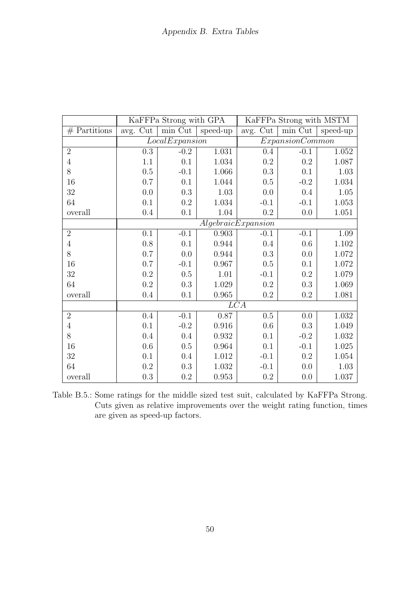|                |             | KaFFPa Strong with GPA      |           | KaFFPa Strong with MSTM |                 |          |  |  |
|----------------|-------------|-----------------------------|-----------|-------------------------|-----------------|----------|--|--|
| $#$ Partitions | Cut<br>avg. | min Cut                     | speed-up  | $\mathrm{Cut}$<br>avg.  | min Cut         | speed-up |  |  |
|                |             | $\overline{LocalExpansion}$ |           |                         | ExpansionCommon |          |  |  |
| $\overline{2}$ | $0.3\,$     | $-0.2$                      | 1.031     | 0.4                     | $-0.1$          | 1.052    |  |  |
| $\sqrt{4}$     | 1.1         | 0.1                         | 1.034     | $\rm 0.2$               | $0.2\,$         | 1.087    |  |  |
| 8              | $0.5\,$     | $-0.1$                      | 1.066     | 0.3                     | 0.1             | 1.03     |  |  |
| 16             | 0.7         | 0.1                         | 1.044     | 0.5                     | $-0.2$          | 1.034    |  |  |
| 32             | 0.0         | 0.3                         | 1.03      | 0.0                     | 0.4             | 1.05     |  |  |
| 64             | 0.1         | 0.2                         | 1.034     | $-0.1$                  | $-0.1$          | 1.053    |  |  |
| overall        | $0.4\,$     | 0.1                         | 1.04      | $0.2\,$                 | 0.0             | 1.051    |  |  |
|                |             |                             |           | Algebraic Expansion     |                 |          |  |  |
| $\overline{2}$ | 0.1         | $-0.1$                      | 0.903     | $-0.1$                  | $-0.1$          | 1.09     |  |  |
| $\overline{4}$ | $0.8\,$     | 0.1                         | 0.944     | $0.4\,$                 | 0.6             | 1.102    |  |  |
| 8              | 0.7         | 0.0                         | 0.944     | 0.3                     | 0.0             | 1.072    |  |  |
| 16             | 0.7         | $-0.1$                      | 0.967     | 0.5                     | 0.1             | 1.072    |  |  |
| 32             | 0.2         | 0.5                         | 1.01      | $-0.1$                  | 0.2             | 1.079    |  |  |
| 64             | 0.2         | 0.3                         | 1.029     | 0.2                     | 0.3             | 1.069    |  |  |
| overall        | $0.4\,$     | 0.1                         | 0.965     | 0.2                     | 0.2             | 1.081    |  |  |
|                |             |                             |           | LCA                     |                 |          |  |  |
| $\overline{2}$ | $0.4\,$     | $-0.1$                      | 0.87      | $0.5\,$                 | 0.0             | 1.032    |  |  |
| $\,4\,$        | 0.1         | $-0.2$                      | 0.916     | 0.6                     | 0.3             | 1.049    |  |  |
| 8              | $0.4\,$     | 0.4                         | 0.932     | 0.1                     | $-0.2$          | 1.032    |  |  |
| 16             | $0.6\,$     | 0.5                         | 0.964     | 0.1                     | $-0.1$          | 1.025    |  |  |
| 32             | 0.1         | 0.4                         | $1.012\,$ | $-0.1$                  | 0.2             | 1.054    |  |  |
| 64             | $\rm 0.2$   | 0.3                         | 1.032     | $-0.1$                  | 0.0             | 1.03     |  |  |
| overall        | $0.3\,$     | 0.2                         | 0.953     | 0.2                     | 0.0             | 1.037    |  |  |

Table B.5.: Some ratings for the middle sized test suit, calculated by KaFFPa Strong. Cuts given as relative improvements over the weight rating function, times are given as speed-up factors.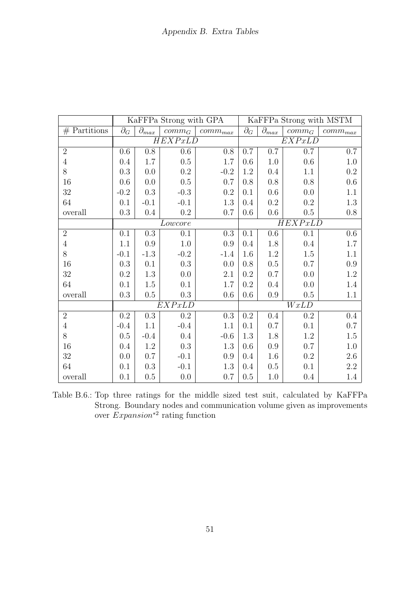|                | KaFFPa Strong with GPA |                         |          |              | KaFFPa Strong with MSTM |                  |          |                  |  |
|----------------|------------------------|-------------------------|----------|--------------|-------------------------|------------------|----------|------------------|--|
| $#$ Partitions | $\bar{\partial}_G$     | $\bar{\partial}_{\max}$ | $comm_G$ | $comm_{max}$ | $\bar{\partial}_G$      | $\partial_{max}$ | $comm_G$ | $comm_{max}$     |  |
|                |                        |                         | HEXPxLD  |              |                         |                  | EXP xLD  |                  |  |
| $\overline{2}$ | 0.6                    | 0.8                     | 0.6      | $0.8\,$      | 0.7                     | 0.7              | 0.7      | 0.7              |  |
| $\overline{4}$ | 0.4                    | 1.7                     | 0.5      | 1.7          | 0.6                     | 1.0              | 0.6      | $1.0\,$          |  |
| 8              | 0.3                    | 0.0                     | 0.2      | $-0.2$       | 1.2                     | 0.4              | $1.1\,$  | $\rm 0.2$        |  |
| 16             | 0.6                    | 0.0                     | 0.5      | 0.7          | $0.8\,$                 | 0.8              | 0.8      | $0.6\,$          |  |
| 32             | $-0.2$                 | 0.3                     | $-0.3$   | 0.2          | 0.1                     | 0.6              | 0.0      | 1.1              |  |
| 64             | 0.1                    | $-0.1$                  | $-0.1$   | 1.3          | 0.4                     | 0.2              | 0.2      | 1.3              |  |
| overall        | 0.3                    | 0.4                     | 0.2      | 0.7          | 0.6                     | 0.6              | 0.5      | 0.8              |  |
|                |                        | Lowcore                 |          |              |                         | $HEXP\nxLD$      |          |                  |  |
| $\overline{2}$ | 0.1                    | $\overline{0.3}$        | 0.1      | 0.3          | 0.1                     | $0.6\,$          | 0.1      | $0.\overline{6}$ |  |
| $\overline{4}$ | 1.1                    | 0.9                     | $1.0\,$  | 0.9          | 0.4                     | 1.8              | $0.4\,$  | 1.7              |  |
| 8              | $-0.1$                 | $-1.3$                  | $-0.2$   | $-1.4$       | 1.6                     | 1.2              | 1.5      | 1.1              |  |
| 16             | 0.3                    | 0.1                     | 0.3      | 0.0          | 0.8                     | 0.5              | 0.7      | $\rm 0.9$        |  |
| 32             | 0.2                    | 1.3                     | 0.0      | 2.1          | 0.2                     | 0.7              | 0.0      | 1.2              |  |
| 64             | 0.1                    | 1.5                     | 0.1      | 1.7          | 0.2                     | 0.4              | 0.0      | 1.4              |  |
| overall        | 0.3                    | 0.5                     | 0.3      | 0.6          | 0.6                     | 0.9              | 0.5      | 1.1              |  |
|                |                        |                         | EXP xLD  |              | $\overline{WxLD}$       |                  |          |                  |  |
| $\overline{2}$ | 0.2                    | 0.3                     | 0.2      | $\rm 0.3$    | 0.2                     | 0.4              | 0.2      | $0.4\,$          |  |
| $\overline{4}$ | $-0.4$                 | 1.1                     | $-0.4$   | 1.1          | 0.1                     | 0.7              | 0.1      | $0.7\,$          |  |
| 8              | 0.5                    | $-0.4$                  | 0.4      | $-0.6$       | 1.3                     | 1.8              | 1.2      | $1.5\,$          |  |
| 16             | 0.4                    | 1.2                     | 0.3      | 1.3          | 0.6                     | 0.9              | 0.7      | 1.0              |  |
| 32             | 0.0                    | 0.7                     | $-0.1$   | 0.9          | 0.4                     | 1.6              | 0.2      | $2.6\,$          |  |
| 64             | 0.1                    | 0.3                     | $-0.1$   | 1.3          | 0.4                     | 0.5              | 0.1      | 2.2              |  |
| overall        | 0.1                    | 0.5                     | 0.0      | 0.7          | 0.5                     | 1.0              | 0.4      | 1.4              |  |

Table B.6.: Top three ratings for the middle sized test suit, calculated by KaFFPa Strong. Boundary nodes and communication volume given as improvements over Expansion<sup>∗</sup><sup>2</sup> rating function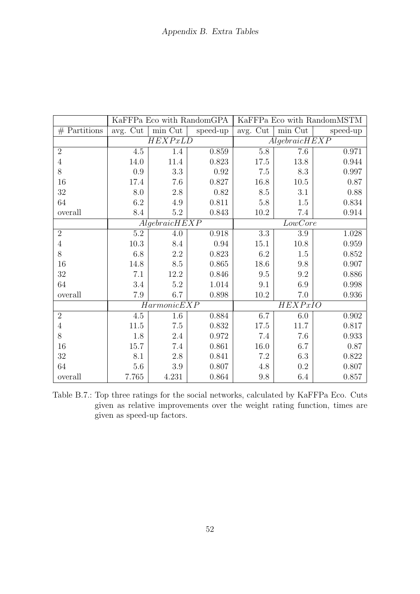|                |                  |                | KaFFPa Eco with RandomGPA | KaFFPa Eco with RandomMSTM |          |           |  |
|----------------|------------------|----------------|---------------------------|----------------------------|----------|-----------|--|
| $#$ Partitions | avg. Cut         | min Cut        | speed-up                  | Cut<br>avg.                | min Cut  | speed-up  |  |
|                |                  | HEXPxLD        |                           | Algebraic HEXP             |          |           |  |
| $\overline{2}$ | 4.5              | 1.4            | 0.859                     | $5.8\,$                    | 7.6      | 0.971     |  |
| $\overline{4}$ | 14.0             | 11.4           | 0.823                     | 17.5                       | 13.8     | 0.944     |  |
| 8              | 0.9              | 3.3            | 0.92                      | 7.5                        | 8.3      | $0.997\,$ |  |
| $16\,$         | 17.4             | 7.6            | 0.827                     | 16.8                       | $10.5\,$ | 0.87      |  |
| $32\,$         | 8.0              | $2.8\,$        | 0.82                      | 8.5                        | 3.1      | 0.88      |  |
| 64             | 6.2              | 4.9            | 0.811                     | 5.8                        | 1.5      | $0.834\,$ |  |
| overall        | 8.4              | $5.2\,$        | 0.843                     | 10.2                       | 7.4      | 0.914     |  |
|                |                  | Algebraic HEXP |                           | LowCore                    |          |           |  |
| $\overline{2}$ | $\overline{5.2}$ | 4.0            | 0.918                     | 3.3                        | $3.9\,$  | 1.028     |  |
| $\overline{4}$ | 10.3             | 8.4            | 0.94                      | 15.1                       | 10.8     | 0.959     |  |
| 8              | 6.8              | $2.2\,$        | 0.823                     | 6.2                        | 1.5      | 0.852     |  |
| 16             | 14.8             | 8.5            | 0.865                     | 18.6                       | 9.8      | 0.907     |  |
| $32\,$         | 7.1              | 12.2           | 0.846                     | 9.5                        | 9.2      | 0.886     |  |
| 64             | 3.4              | $5.2\,$        | 1.014                     | 9.1                        | 6.9      | 0.998     |  |
| overall        | 7.9              | 6.7            | 0.898                     | 10.2                       | $7.0\,$  | 0.936     |  |
|                |                  | Harmonic EXP   |                           | <b>HEXPxIO</b>             |          |           |  |
| $\overline{2}$ | 4.5              | $1.6\,$        | 0.884                     | 6.7                        | 6.0      | 0.902     |  |
| $\overline{4}$ | 11.5             | 7.5            | 0.832                     | 17.5                       | 11.7     | 0.817     |  |
| 8              | 1.8              | 2.4            | 0.972                     | 7.4                        | 7.6      | 0.933     |  |
| 16             | 15.7             | 7.4            | 0.861                     | 16.0                       | 6.7      | 0.87      |  |
| $32\,$         | 8.1              | 2.8            | 0.841                     | 7.2                        | 6.3      | 0.822     |  |
| 64             | 5.6              | 3.9            | 0.807                     | 4.8                        | 0.2      | 0.807     |  |
| overall        | 7.765            | 4.231          | 0.864                     | 9.8                        | 6.4      | 0.857     |  |

<span id="page-55-0"></span>Table B.7.: Top three ratings for the social networks, calculated by KaFFPa Eco. Cuts given as relative improvements over the weight rating function, times are given as speed-up factors.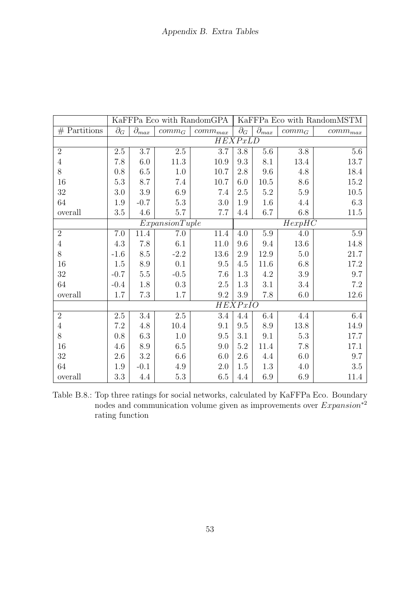|                | KaFFPa Eco with RandomGPA |                                    |               |              | KaFFPa Eco with RandomMSTM |                        |          |              |
|----------------|---------------------------|------------------------------------|---------------|--------------|----------------------------|------------------------|----------|--------------|
| $#$ Partitions | $\partial_G$              | $\bar{\partial}_{\underline{max}}$ | $comm_G$      | $comm_{max}$ | $\bar{\partial}_G$         | $\bar{\partial}_{max}$ | $comm_G$ | $comm_{max}$ |
|                |                           |                                    |               |              | HEXPxLD                    |                        |          |              |
| $\overline{2}$ | $2.5\,$                   | 3.7                                | $2.5\,$       | 3.7          | 3.8                        | $5.6\,$                | $3.8\,$  | $5.6\,$      |
| $\overline{4}$ | 7.8                       | 6.0                                | 11.3          | 10.9         | 9.3                        | 8.1                    | 13.4     | 13.7         |
| 8              | 0.8                       | 6.5                                | 1.0           | 10.7         | $2.8\,$                    | 9.6                    | 4.8      | 18.4         |
| 16             | $5.3\,$                   | 8.7                                | 7.4           | 10.7         | 6.0                        | $10.5\,$               | 8.6      | 15.2         |
| $32\,$         | 3.0                       | 3.9                                | 6.9           | 7.4          | 2.5                        | $5.2\,$                | $5.9\,$  | $10.5\,$     |
| 64             | 1.9                       | $-0.7$                             | $5.3\,$       | 3.0          | 1.9                        | 1.6                    | 4.4      | 6.3          |
| overall        | 3.5                       | 4.6                                | 5.7           | 7.7          | 4.4                        | 6.7                    | 6.8      | 11.5         |
|                |                           |                                    | ExpanionTuple |              |                            |                        | HexpHC   |              |
| $\overline{2}$ | 7.0                       | 11.4                               | 7.0           | 11.4         | 4.0                        | $5.9\,$                | 4.0      | 5.9          |
| $\overline{4}$ | 4.3                       | 7.8                                | 6.1           | 11.0         | 9.6                        | 9.4                    | 13.6     | 14.8         |
| 8              | $-1.6$                    | 8.5                                | $-2.2$        | 13.6         | 2.9                        | 12.9                   | 5.0      | 21.7         |
| 16             | 1.5                       | $8.9\,$                            | 0.1           | 9.5          | 4.5                        | 11.6                   | 6.8      | 17.2         |
| 32             | $-0.7$                    | $5.5\,$                            | $-0.5$        | 7.6          | 1.3                        | 4.2                    | $3.9\,$  | 9.7          |
| 64             | $-0.4$                    | 1.8                                | 0.3           | 2.5          | 1.3                        | 3.1                    | 3.4      | 7.2          |
| overall        | 1.7                       | 7.3                                | 1.7           | 9.2          | 3.9                        | 7.8                    | 6.0      | 12.6         |
|                |                           |                                    |               |              | <b>HEXPxIO</b>             |                        |          |              |
| $\overline{2}$ | $2.5\,$                   | $3.4\,$                            | 2.5           | 3.4          | 4.4                        | 6.4                    | 4.4      | 6.4          |
| $\overline{4}$ | 7.2                       | 4.8                                | 10.4          | 9.1          | 9.5                        | 8.9                    | 13.8     | 14.9         |
| 8              | 0.8                       | 6.3                                | 1.0           | 9.5          | 3.1                        | 9.1                    | $5.3\,$  | 17.7         |
| 16             | 4.6                       | 8.9                                | 6.5           | 9.0          | 5.2                        | 11.4                   | 7.8      | 17.1         |
| $32\,$         | 2.6                       | 3.2                                | 6.6           | 6.0          | 2.6                        | 4.4                    | 6.0      | 9.7          |
| 64             | 1.9                       | $-0.1$                             | 4.9           | 2.0          | 1.5                        | 1.3                    | 4.0      | 3.5          |
| overall        | 3.3                       | 4.4                                | 5.3           | 6.5          | 4.4                        | 6.9                    | 6.9      | 11.4         |

Table B.8.: Top three ratings for social networks, calculated by KaFFPa Eco. Boundary nodes and communication volume given as improvements over  $Expansion^{*2}$ rating function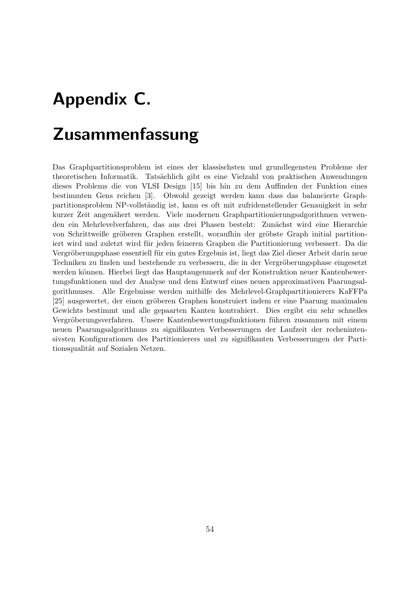# <span id="page-57-0"></span>Appendix C.

## Zusammenfassung

Das Graphpartitionsproblem ist eines der klassischsten und grundlegensten Probleme der theoretischen Informatik. Tatsächlich gibt es eine Vielzahl von praktischen Anwendungen dieses Problems die von VLSI Design [\[15\]](#page-58-0) bis hin zu dem Auffinden der Funktion eines bestimmten Gens reichen [\[3\]](#page-58-1). Obwohl gezeigt werden kann dass das balancierte Graphpartitionsproblem NP-vollständig ist, kann es oft mit zufridenstellender Genauigkeit in sehr kurzer Zeit angenähert werden. Viele modernen Graphpartitionierungsalgorithmen verwenden ein Mehrlevelverfahren, das aus drei Phasen besteht: Zunächst wird eine Hierarchie von Schrittweiße gröberen Graphen erstellt, woraufhin der gröbste Graph initial partitioniert wird und zuletzt wird für jeden feineren Graphen die Partitionierung verbessert. Da die Vergröberungsphase essentiell für ein gutes Ergebnis ist, liegt das Ziel dieser Arbeit darin neue Techniken zu finden und bestehende zu verbessern, die in der Vergröberungsphase eingesetzt werden können. Hierbei liegt das Hauptaugenmerk auf der Konstruktion neuer Kantenbewertungsfunktionen und der Analyse und dem Entwurf eines neuen approximativen Paarungsalgorithmuses. Alle Ergebnisse werden mithilfe des Mehrlevel-Graphpartitionierers KaFFPa [\[25\]](#page-59-0) ausgewertet, der einen gröberen Graphen konstruiert indem er eine Paarung maximalen Gewichts bestimmt und alle gepaarten Kanten kontrahiert. Dies ergibt ein sehr schnelles Vergröberungsverfahren. Unsere Kantenbewertungsfunktionen führen zusammen mit einem neuen Paarungsalgorithmus zu signifikanten Verbesserungen der Laufzeit der rechenintensivsten Konfigurationen des Partitionierers und zu signifikanten Verbesserungen der Partitionsqualität auf Sozialen Netzen.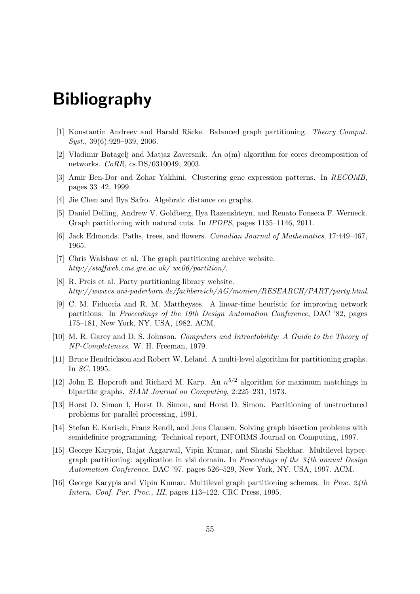## Bibliography

- <span id="page-58-3"></span>[1] Konstantin Andreev and Harald Räcke. Balanced graph partitioning. Theory Comput. Syst., 39(6):929–939, 2006.
- <span id="page-58-11"></span>[2] Vladimir Batagelj and Matjaz Zaversnik. An o(m) algorithm for cores decomposition of networks. CoRR, cs.DS/0310049, 2003.
- <span id="page-58-1"></span>[3] Amir Ben-Dor and Zohar Yakhini. Clustering gene expression patterns. In RECOMB, pages 33–42, 1999.
- <span id="page-58-12"></span>[4] Jie Chen and Ilya Safro. Algebraic distance on graphs.
- <span id="page-58-14"></span>[5] Daniel Delling, Andrew V. Goldberg, Ilya Razenshteyn, and Renato Fonseca F. Werneck. Graph partitioning with natural cuts. In IPDPS, pages 1135–1146, 2011.
- <span id="page-58-5"></span>[6] Jack Edmonds. Paths, trees, and flowers. Canadian Journal of Mathematics, 17:449–467, 1965.
- <span id="page-58-15"></span>[7] Chris Walshaw et al. The graph partitioning archive website. http://staffweb.cms.gre.ac.uk/ wc06/partition/.
- <span id="page-58-6"></span>[8] R. Preis et al. Party partitioning library website. http://wwwcs.uni-paderborn.de/fachbereich/AG/monien/RESEARCH/PART/party.html.
- <span id="page-58-9"></span>[9] C. M. Fiduccia and R. M. Mattheyses. A linear-time heuristic for improving network partitions. In Proceedings of the 19th Design Automation Conference, DAC '82, pages 175–181, New York, NY, USA, 1982. ACM.
- <span id="page-58-2"></span>[10] M. R. Garey and D. S. Johnson. Computers and Intractability: A Guide to the Theory of NP-Completeness. W. H. Freeman, 1979.
- <span id="page-58-13"></span>[11] Bruce Hendrickson and Robert W. Leland. A multi-level algorithm for partitioning graphs. In SC, 1995.
- <span id="page-58-4"></span>[12] John E. Hopcroft and Richard M. Karp. An  $n^{5/2}$  algorithm for maximum matchings in bipartite graphs. SIAM Journal on Computing, 2:225–231, 1973.
- <span id="page-58-8"></span>[13] Horst D. Simon I, Horst D. Simon, and Horst D. Simon. Partitioning of unstructured problems for parallel processing, 1991.
- <span id="page-58-7"></span>[14] Stefan E. Karisch, Franz Rendl, and Jens Clausen. Solving graph bisection problems with semidefinite programming. Technical report, INFORMS Journal on Computing, 1997.
- <span id="page-58-0"></span>[15] George Karypis, Rajat Aggarwal, Vipin Kumar, and Shashi Shekhar. Multilevel hypergraph partitioning: application in vlsi domain. In Proceedings of the 34th annual Design Automation Conference, DAC '97, pages 526–529, New York, NY, USA, 1997. ACM.
- <span id="page-58-10"></span>[16] George Karypis and Vipin Kumar. Multilevel graph partitioning schemes. In Proc. 24th Intern. Conf. Par. Proc., III, pages 113–122. CRC Press, 1995.